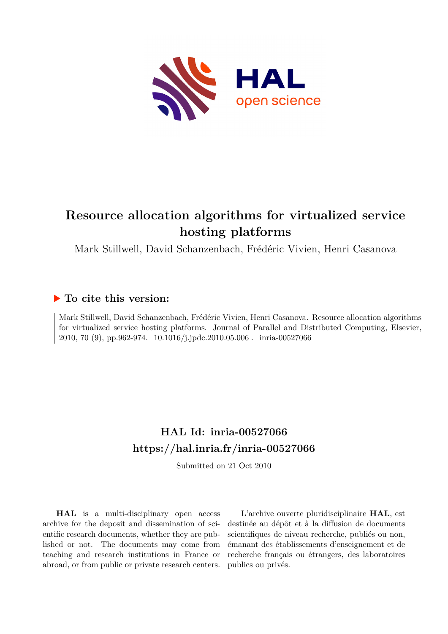

# **Resource allocation algorithms for virtualized service hosting platforms**

Mark Stillwell, David Schanzenbach, Frédéric Vivien, Henri Casanova

# **To cite this version:**

Mark Stillwell, David Schanzenbach, Frédéric Vivien, Henri Casanova. Resource allocation algorithms for virtualized service hosting platforms. Journal of Parallel and Distributed Computing, Elsevier, 2010, 70 (9), pp.962-974. 10.1016/j.jpdc.2010.05.006. inria-00527066

# **HAL Id: inria-00527066 <https://hal.inria.fr/inria-00527066>**

Submitted on 21 Oct 2010

**HAL** is a multi-disciplinary open access archive for the deposit and dissemination of scientific research documents, whether they are published or not. The documents may come from teaching and research institutions in France or abroad, or from public or private research centers.

L'archive ouverte pluridisciplinaire **HAL**, est destinée au dépôt et à la diffusion de documents scientifiques de niveau recherche, publiés ou non, émanant des établissements d'enseignement et de recherche français ou étrangers, des laboratoires publics ou privés.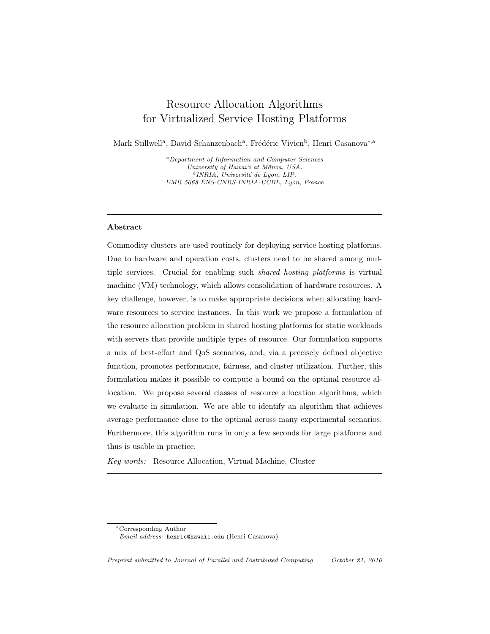# Resource Allocation Algorithms for Virtualized Service Hosting Platforms

Mark Stillwell<sup>a</sup>, David Schanzenbach<sup>a</sup>, Frédéric Vivien<sup>b</sup>, Henri Casanova<sup>\*, a</sup>

<sup>a</sup>Department of Information and Computer Sciences University of Hawai'i at Mānoa, USA.  $^{b}$ INRIA, Université de Lyon, LIP, UMR 5668 ENS-CNRS-INRIA-UCBL, Lyon, France

# Abstract

Commodity clusters are used routinely for deploying service hosting platforms. Due to hardware and operation costs, clusters need to be shared among multiple services. Crucial for enabling such shared hosting platforms is virtual machine (VM) technology, which allows consolidation of hardware resources. A key challenge, however, is to make appropriate decisions when allocating hardware resources to service instances. In this work we propose a formulation of the resource allocation problem in shared hosting platforms for static workloads with servers that provide multiple types of resource. Our formulation supports a mix of best-effort and QoS scenarios, and, via a precisely defined objective function, promotes performance, fairness, and cluster utilization. Further, this formulation makes it possible to compute a bound on the optimal resource allocation. We propose several classes of resource allocation algorithms, which we evaluate in simulation. We are able to identify an algorithm that achieves average performance close to the optimal across many experimental scenarios. Furthermore, this algorithm runs in only a few seconds for large platforms and thus is usable in practice.

Key words: Resource Allocation, Virtual Machine, Cluster

<sup>∗</sup>Corresponding Author Email address: henric@hawaii.edu (Henri Casanova)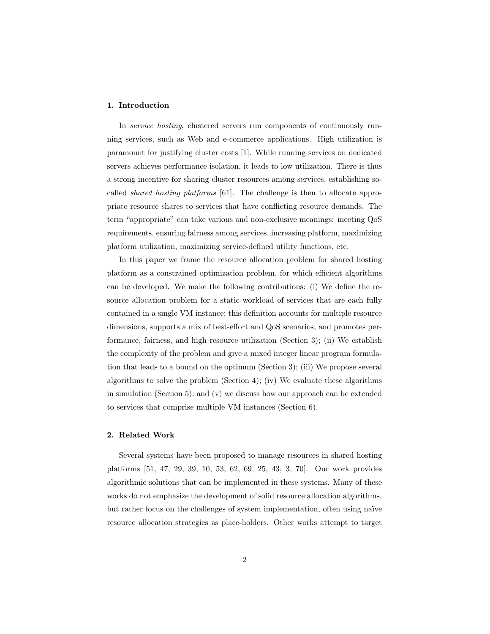# 1. Introduction

In service hosting, clustered servers run components of continuously running services, such as Web and e-commerce applications. High utilization is paramount for justifying cluster costs [1]. While running services on dedicated servers achieves performance isolation, it leads to low utilization. There is thus a strong incentive for sharing cluster resources among services, establishing socalled shared hosting platforms [61]. The challenge is then to allocate appropriate resource shares to services that have conflicting resource demands. The term "appropriate" can take various and non-exclusive meanings: meeting QoS requirements, ensuring fairness among services, increasing platform, maximizing platform utilization, maximizing service-defined utility functions, etc.

In this paper we frame the resource allocation problem for shared hosting platform as a constrained optimization problem, for which efficient algorithms can be developed. We make the following contributions: (i) We define the resource allocation problem for a static workload of services that are each fully contained in a single VM instance; this definition accounts for multiple resource dimensions, supports a mix of best-effort and QoS scenarios, and promotes performance, fairness, and high resource utilization (Section 3); (ii) We establish the complexity of the problem and give a mixed integer linear program formulation that leads to a bound on the optimum (Section 3); (iii) We propose several algorithms to solve the problem (Section 4); (iv) We evaluate these algorithms in simulation (Section 5); and (v) we discuss how our approach can be extended to services that comprise multiple VM instances (Section 6).

# 2. Related Work

Several systems have been proposed to manage resources in shared hosting platforms [51, 47, 29, 39, 10, 53, 62, 69, 25, 43, 3, 70]. Our work provides algorithmic solutions that can be implemented in these systems. Many of these works do not emphasize the development of solid resource allocation algorithms, but rather focus on the challenges of system implementation, often using na¨ıve resource allocation strategies as place-holders. Other works attempt to target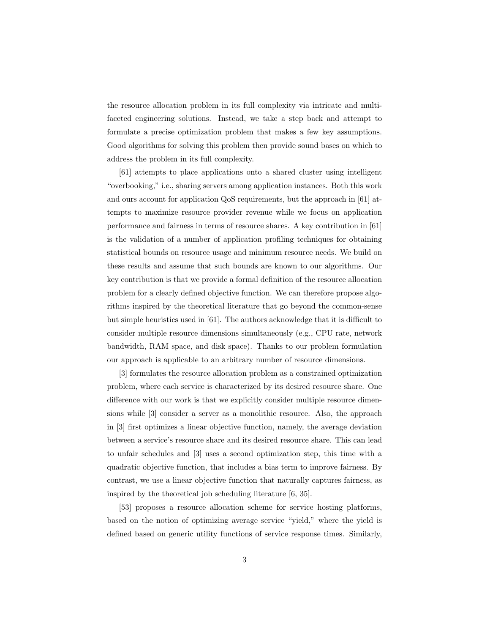the resource allocation problem in its full complexity via intricate and multifaceted engineering solutions. Instead, we take a step back and attempt to formulate a precise optimization problem that makes a few key assumptions. Good algorithms for solving this problem then provide sound bases on which to address the problem in its full complexity.

[61] attempts to place applications onto a shared cluster using intelligent "overbooking," i.e., sharing servers among application instances. Both this work and ours account for application QoS requirements, but the approach in [61] attempts to maximize resource provider revenue while we focus on application performance and fairness in terms of resource shares. A key contribution in [61] is the validation of a number of application profiling techniques for obtaining statistical bounds on resource usage and minimum resource needs. We build on these results and assume that such bounds are known to our algorithms. Our key contribution is that we provide a formal definition of the resource allocation problem for a clearly defined objective function. We can therefore propose algorithms inspired by the theoretical literature that go beyond the common-sense but simple heuristics used in [61]. The authors acknowledge that it is difficult to consider multiple resource dimensions simultaneously (e.g., CPU rate, network bandwidth, RAM space, and disk space). Thanks to our problem formulation our approach is applicable to an arbitrary number of resource dimensions.

[3] formulates the resource allocation problem as a constrained optimization problem, where each service is characterized by its desired resource share. One difference with our work is that we explicitly consider multiple resource dimensions while [3] consider a server as a monolithic resource. Also, the approach in [3] first optimizes a linear objective function, namely, the average deviation between a service's resource share and its desired resource share. This can lead to unfair schedules and [3] uses a second optimization step, this time with a quadratic objective function, that includes a bias term to improve fairness. By contrast, we use a linear objective function that naturally captures fairness, as inspired by the theoretical job scheduling literature [6, 35].

[53] proposes a resource allocation scheme for service hosting platforms, based on the notion of optimizing average service "yield," where the yield is defined based on generic utility functions of service response times. Similarly,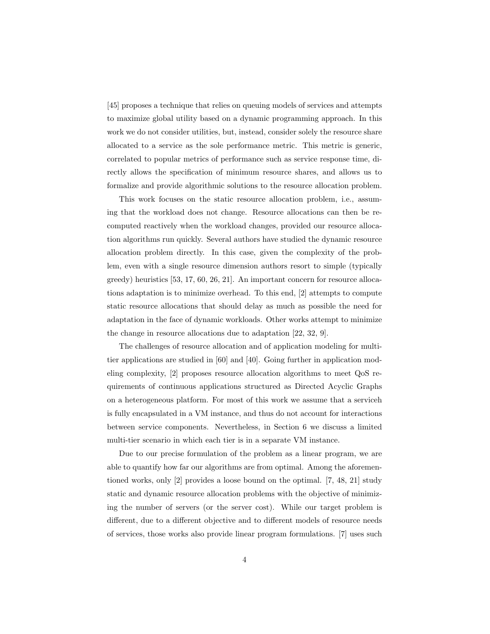[45] proposes a technique that relies on queuing models of services and attempts to maximize global utility based on a dynamic programming approach. In this work we do not consider utilities, but, instead, consider solely the resource share allocated to a service as the sole performance metric. This metric is generic, correlated to popular metrics of performance such as service response time, directly allows the specification of minimum resource shares, and allows us to formalize and provide algorithmic solutions to the resource allocation problem.

This work focuses on the static resource allocation problem, i.e., assuming that the workload does not change. Resource allocations can then be recomputed reactively when the workload changes, provided our resource allocation algorithms run quickly. Several authors have studied the dynamic resource allocation problem directly. In this case, given the complexity of the problem, even with a single resource dimension authors resort to simple (typically greedy) heuristics [53, 17, 60, 26, 21]. An important concern for resource allocations adaptation is to minimize overhead. To this end, [2] attempts to compute static resource allocations that should delay as much as possible the need for adaptation in the face of dynamic workloads. Other works attempt to minimize the change in resource allocations due to adaptation [22, 32, 9].

The challenges of resource allocation and of application modeling for multitier applications are studied in [60] and [40]. Going further in application modeling complexity, [2] proposes resource allocation algorithms to meet QoS requirements of continuous applications structured as Directed Acyclic Graphs on a heterogeneous platform. For most of this work we assume that a serviceh is fully encapsulated in a VM instance, and thus do not account for interactions between service components. Nevertheless, in Section 6 we discuss a limited multi-tier scenario in which each tier is in a separate VM instance.

Due to our precise formulation of the problem as a linear program, we are able to quantify how far our algorithms are from optimal. Among the aforementioned works, only [2] provides a loose bound on the optimal. [7, 48, 21] study static and dynamic resource allocation problems with the objective of minimizing the number of servers (or the server cost). While our target problem is different, due to a different objective and to different models of resource needs of services, those works also provide linear program formulations. [7] uses such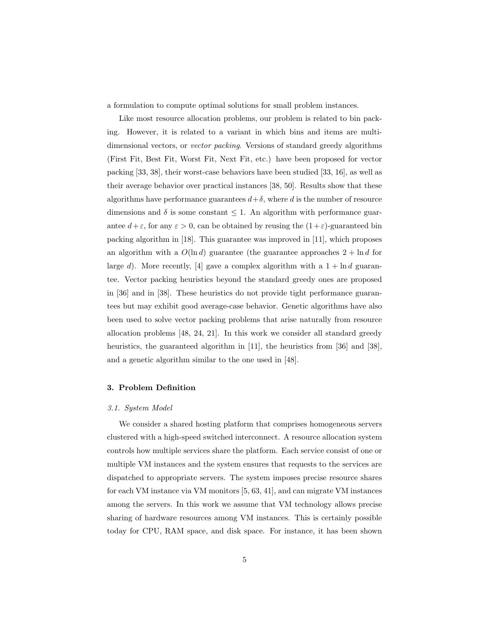a formulation to compute optimal solutions for small problem instances.

Like most resource allocation problems, our problem is related to bin packing. However, it is related to a variant in which bins and items are multidimensional vectors, or vector packing. Versions of standard greedy algorithms (First Fit, Best Fit, Worst Fit, Next Fit, etc.) have been proposed for vector packing [33, 38], their worst-case behaviors have been studied [33, 16], as well as their average behavior over practical instances [38, 50]. Results show that these algorithms have performance guarantees  $d+\delta$ , where d is the number of resource dimensions and  $\delta$  is some constant  $\leq 1$ . An algorithm with performance guarantee  $d+\varepsilon$ , for any  $\varepsilon > 0$ , can be obtained by reusing the  $(1+\varepsilon)$ -guaranteed bin packing algorithm in [18]. This guarantee was improved in [11], which proposes an algorithm with a  $O(\ln d)$  guarantee (the guarantee approaches  $2 + \ln d$  for large d). More recently, [4] gave a complex algorithm with a  $1 + \ln d$  guarantee. Vector packing heuristics beyond the standard greedy ones are proposed in [36] and in [38]. These heuristics do not provide tight performance guarantees but may exhibit good average-case behavior. Genetic algorithms have also been used to solve vector packing problems that arise naturally from resource allocation problems [48, 24, 21]. In this work we consider all standard greedy heuristics, the guaranteed algorithm in [11], the heuristics from [36] and [38], and a genetic algorithm similar to the one used in [48].

# 3. Problem Definition

#### 3.1. System Model

We consider a shared hosting platform that comprises homogeneous servers clustered with a high-speed switched interconnect. A resource allocation system controls how multiple services share the platform. Each service consist of one or multiple VM instances and the system ensures that requests to the services are dispatched to appropriate servers. The system imposes precise resource shares for each VM instance via VM monitors [5, 63, 41], and can migrate VM instances among the servers. In this work we assume that VM technology allows precise sharing of hardware resources among VM instances. This is certainly possible today for CPU, RAM space, and disk space. For instance, it has been shown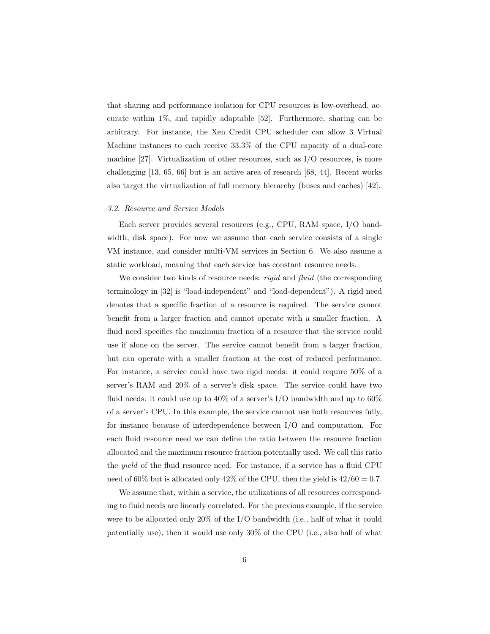that sharing and performance isolation for CPU resources is low-overhead, accurate within 1%, and rapidly adaptable [52]. Furthermore, sharing can be arbitrary. For instance, the Xen Credit CPU scheduler can allow 3 Virtual Machine instances to each receive 33.3% of the CPU capacity of a dual-core machine [27]. Virtualization of other resources, such as I/O resources, is more challenging [13, 65, 66] but is an active area of research [68, 44]. Recent works also target the virtualization of full memory hierarchy (buses and caches) [42].

#### 3.2. Resource and Service Models

Each server provides several resources (e.g., CPU, RAM space, I/O bandwidth, disk space). For now we assume that each service consists of a single VM instance, and consider multi-VM services in Section 6. We also assume a static workload, meaning that each service has constant resource needs.

We consider two kinds of resource needs: rigid and fluid (the corresponding terminology in [32] is "load-independent" and "load-dependent"). A rigid need denotes that a specific fraction of a resource is required. The service cannot benefit from a larger fraction and cannot operate with a smaller fraction. A fluid need specifies the maximum fraction of a resource that the service could use if alone on the server. The service cannot benefit from a larger fraction, but can operate with a smaller fraction at the cost of reduced performance. For instance, a service could have two rigid needs: it could require 50% of a server's RAM and 20% of a server's disk space. The service could have two fluid needs: it could use up to  $40\%$  of a server's I/O bandwidth and up to  $60\%$ of a server's CPU. In this example, the service cannot use both resources fully, for instance because of interdependence between I/O and computation. For each fluid resource need we can define the ratio between the resource fraction allocated and the maximum resource fraction potentially used. We call this ratio the yield of the fluid resource need. For instance, if a service has a fluid CPU need of 60% but is allocated only 42% of the CPU, then the yield is  $42/60 = 0.7$ .

We assume that, within a service, the utilizations of all resources corresponding to fluid needs are linearly correlated. For the previous example, if the service were to be allocated only 20% of the I/O bandwidth (i.e., half of what it could potentially use), then it would use only 30% of the CPU (i.e., also half of what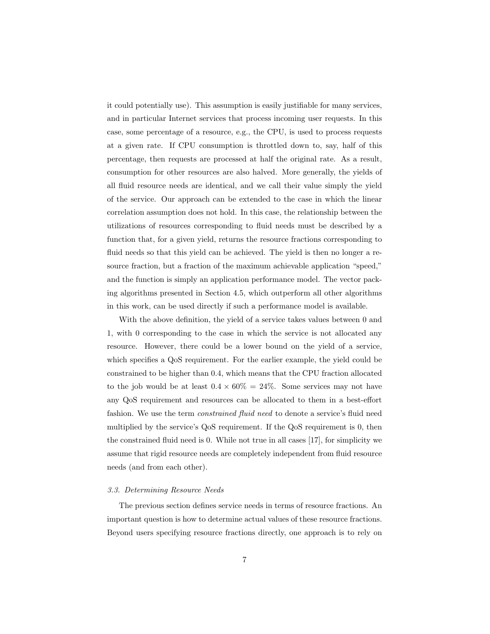it could potentially use). This assumption is easily justifiable for many services, and in particular Internet services that process incoming user requests. In this case, some percentage of a resource, e.g., the CPU, is used to process requests at a given rate. If CPU consumption is throttled down to, say, half of this percentage, then requests are processed at half the original rate. As a result, consumption for other resources are also halved. More generally, the yields of all fluid resource needs are identical, and we call their value simply the yield of the service. Our approach can be extended to the case in which the linear correlation assumption does not hold. In this case, the relationship between the utilizations of resources corresponding to fluid needs must be described by a function that, for a given yield, returns the resource fractions corresponding to fluid needs so that this yield can be achieved. The yield is then no longer a resource fraction, but a fraction of the maximum achievable application "speed," and the function is simply an application performance model. The vector packing algorithms presented in Section 4.5, which outperform all other algorithms in this work, can be used directly if such a performance model is available.

With the above definition, the yield of a service takes values between 0 and 1, with 0 corresponding to the case in which the service is not allocated any resource. However, there could be a lower bound on the yield of a service, which specifies a QoS requirement. For the earlier example, the yield could be constrained to be higher than 0.4, which means that the CPU fraction allocated to the job would be at least  $0.4 \times 60\% = 24\%$ . Some services may not have any QoS requirement and resources can be allocated to them in a best-effort fashion. We use the term *constrained fluid need* to denote a service's fluid need multiplied by the service's QoS requirement. If the QoS requirement is 0, then the constrained fluid need is 0. While not true in all cases [17], for simplicity we assume that rigid resource needs are completely independent from fluid resource needs (and from each other).

#### 3.3. Determining Resource Needs

The previous section defines service needs in terms of resource fractions. An important question is how to determine actual values of these resource fractions. Beyond users specifying resource fractions directly, one approach is to rely on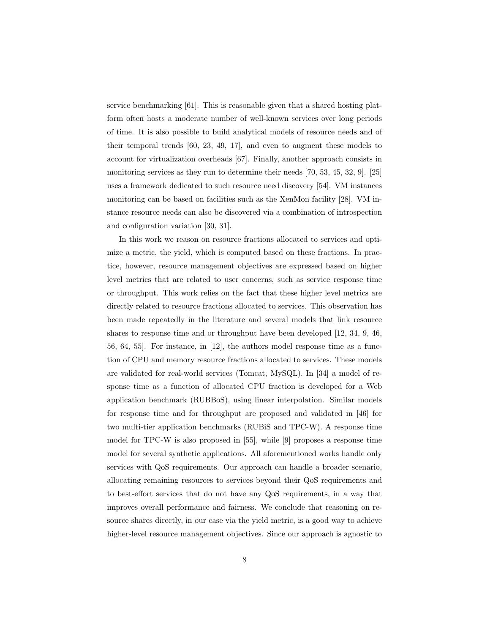service benchmarking [61]. This is reasonable given that a shared hosting platform often hosts a moderate number of well-known services over long periods of time. It is also possible to build analytical models of resource needs and of their temporal trends [60, 23, 49, 17], and even to augment these models to account for virtualization overheads [67]. Finally, another approach consists in monitoring services as they run to determine their needs [70, 53, 45, 32, 9]. [25] uses a framework dedicated to such resource need discovery [54]. VM instances monitoring can be based on facilities such as the XenMon facility [28]. VM instance resource needs can also be discovered via a combination of introspection and configuration variation [30, 31].

In this work we reason on resource fractions allocated to services and optimize a metric, the yield, which is computed based on these fractions. In practice, however, resource management objectives are expressed based on higher level metrics that are related to user concerns, such as service response time or throughput. This work relies on the fact that these higher level metrics are directly related to resource fractions allocated to services. This observation has been made repeatedly in the literature and several models that link resource shares to response time and or throughput have been developed [12, 34, 9, 46, 56, 64, 55]. For instance, in [12], the authors model response time as a function of CPU and memory resource fractions allocated to services. These models are validated for real-world services (Tomcat, MySQL). In [34] a model of response time as a function of allocated CPU fraction is developed for a Web application benchmark (RUBBoS), using linear interpolation. Similar models for response time and for throughput are proposed and validated in [46] for two multi-tier application benchmarks (RUBiS and TPC-W). A response time model for TPC-W is also proposed in [55], while [9] proposes a response time model for several synthetic applications. All aforementioned works handle only services with QoS requirements. Our approach can handle a broader scenario, allocating remaining resources to services beyond their QoS requirements and to best-effort services that do not have any QoS requirements, in a way that improves overall performance and fairness. We conclude that reasoning on resource shares directly, in our case via the yield metric, is a good way to achieve higher-level resource management objectives. Since our approach is agnostic to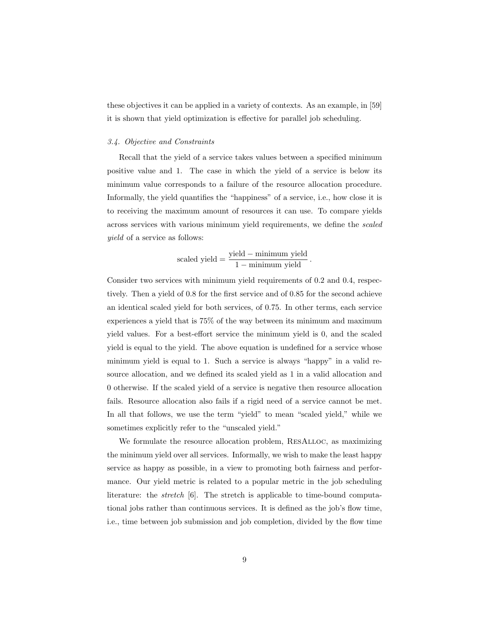these objectives it can be applied in a variety of contexts. As an example, in [59] it is shown that yield optimization is effective for parallel job scheduling.

# 3.4. Objective and Constraints

Recall that the yield of a service takes values between a specified minimum positive value and 1. The case in which the yield of a service is below its minimum value corresponds to a failure of the resource allocation procedure. Informally, the yield quantifies the "happiness" of a service, i.e., how close it is to receiving the maximum amount of resources it can use. To compare yields across services with various minimum yield requirements, we define the scaled yield of a service as follows:

scaled yield = 
$$
\frac{\text{yield} - \text{minimum yield}}{1 - \text{minimum yield}}.
$$

Consider two services with minimum yield requirements of 0.2 and 0.4, respectively. Then a yield of 0.8 for the first service and of 0.85 for the second achieve an identical scaled yield for both services, of 0.75. In other terms, each service experiences a yield that is 75% of the way between its minimum and maximum yield values. For a best-effort service the minimum yield is 0, and the scaled yield is equal to the yield. The above equation is undefined for a service whose minimum yield is equal to 1. Such a service is always "happy" in a valid resource allocation, and we defined its scaled yield as 1 in a valid allocation and 0 otherwise. If the scaled yield of a service is negative then resource allocation fails. Resource allocation also fails if a rigid need of a service cannot be met. In all that follows, we use the term "yield" to mean "scaled yield," while we sometimes explicitly refer to the "unscaled yield."

We formulate the resource allocation problem, RESALLOC, as maximizing the minimum yield over all services. Informally, we wish to make the least happy service as happy as possible, in a view to promoting both fairness and performance. Our yield metric is related to a popular metric in the job scheduling literature: the stretch [6]. The stretch is applicable to time-bound computational jobs rather than continuous services. It is defined as the job's flow time, i.e., time between job submission and job completion, divided by the flow time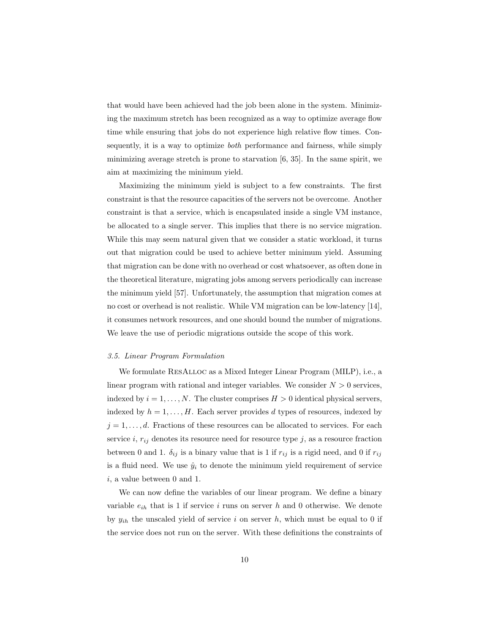that would have been achieved had the job been alone in the system. Minimizing the maximum stretch has been recognized as a way to optimize average flow time while ensuring that jobs do not experience high relative flow times. Consequently, it is a way to optimize both performance and fairness, while simply minimizing average stretch is prone to starvation [6, 35]. In the same spirit, we aim at maximizing the minimum yield.

Maximizing the minimum yield is subject to a few constraints. The first constraint is that the resource capacities of the servers not be overcome. Another constraint is that a service, which is encapsulated inside a single VM instance, be allocated to a single server. This implies that there is no service migration. While this may seem natural given that we consider a static workload, it turns out that migration could be used to achieve better minimum yield. Assuming that migration can be done with no overhead or cost whatsoever, as often done in the theoretical literature, migrating jobs among servers periodically can increase the minimum yield [57]. Unfortunately, the assumption that migration comes at no cost or overhead is not realistic. While VM migration can be low-latency [14], it consumes network resources, and one should bound the number of migrations. We leave the use of periodic migrations outside the scope of this work.

#### 3.5. Linear Program Formulation

We formulate ResAlloc as a Mixed Integer Linear Program (MILP), i.e., a linear program with rational and integer variables. We consider  $N > 0$  services, indexed by  $i = 1, \ldots, N$ . The cluster comprises  $H > 0$  identical physical servers, indexed by  $h = 1, \ldots, H$ . Each server provides d types of resources, indexed by  $j = 1, \ldots, d$ . Fractions of these resources can be allocated to services. For each service  $i, r_{ij}$  denotes its resource need for resource type  $j$ , as a resource fraction between 0 and 1.  $\delta_{ij}$  is a binary value that is 1 if  $r_{ij}$  is a rigid need, and 0 if  $r_{ij}$ is a fluid need. We use  $\hat{y}_i$  to denote the minimum yield requirement of service  $i$ , a value between 0 and 1.

We can now define the variables of our linear program. We define a binary variable  $e_{ih}$  that is 1 if service i runs on server h and 0 otherwise. We denote by  $y_{ih}$  the unscaled yield of service i on server h, which must be equal to 0 if the service does not run on the server. With these definitions the constraints of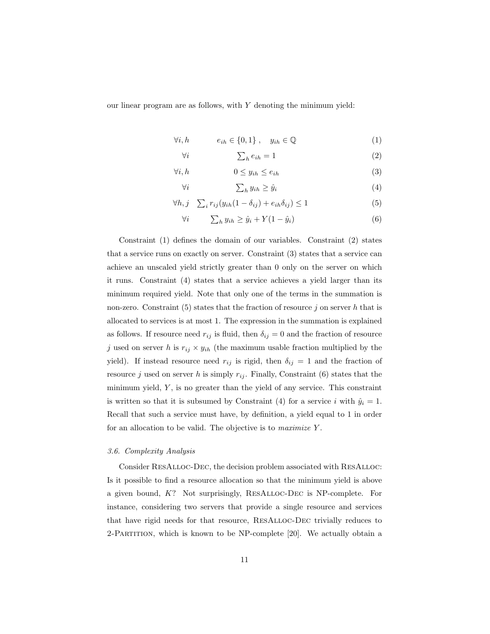our linear program are as follows, with  $Y$  denoting the minimum yield:

$$
\forall i, h \qquad e_{ih} \in \{0, 1\} \,, \quad y_{ih} \in \mathbb{Q} \tag{1}
$$

$$
\forall i \qquad \qquad \sum_{h} e_{ih} = 1 \tag{2}
$$

$$
\forall i, h \qquad \qquad 0 \le y_{ih} \le e_{ih} \tag{3}
$$

$$
\forall i \qquad \qquad \sum_{h} y_{ih} \ge \hat{y}_i \tag{4}
$$

$$
\forall h, j \quad \sum_{i} r_{ij} (y_{ih} (1 - \delta_{ij}) + e_{ih} \delta_{ij}) \le 1 \tag{5}
$$

$$
\forall i \qquad \sum_{h} y_{ih} \ge \hat{y}_i + Y(1 - \hat{y}_i) \tag{6}
$$

Constraint (1) defines the domain of our variables. Constraint (2) states that a service runs on exactly on server. Constraint (3) states that a service can achieve an unscaled yield strictly greater than 0 only on the server on which it runs. Constraint (4) states that a service achieves a yield larger than its minimum required yield. Note that only one of the terms in the summation is non-zero. Constraint (5) states that the fraction of resource  $j$  on server h that is allocated to services is at most 1. The expression in the summation is explained as follows. If resource need  $r_{ij}$  is fluid, then  $\delta_{ij} = 0$  and the fraction of resource j used on server h is  $r_{ij} \times y_{ih}$  (the maximum usable fraction multiplied by the yield). If instead resource need  $r_{ij}$  is rigid, then  $\delta_{ij} = 1$  and the fraction of resource j used on server h is simply  $r_{ij}$ . Finally, Constraint (6) states that the minimum yield,  $Y$ , is no greater than the yield of any service. This constraint is written so that it is subsumed by Constraint (4) for a service i with  $\hat{y}_i = 1$ . Recall that such a service must have, by definition, a yield equal to 1 in order for an allocation to be valid. The objective is to *maximize Y*.

# 3.6. Complexity Analysis

Consider ResAlloc-Dec, the decision problem associated with ResAlloc: Is it possible to find a resource allocation so that the minimum yield is above a given bound, K? Not surprisingly, ResAlloc-Dec is NP-complete. For instance, considering two servers that provide a single resource and services that have rigid needs for that resource, ResAlloc-Dec trivially reduces to 2-Partition, which is known to be NP-complete [20]. We actually obtain a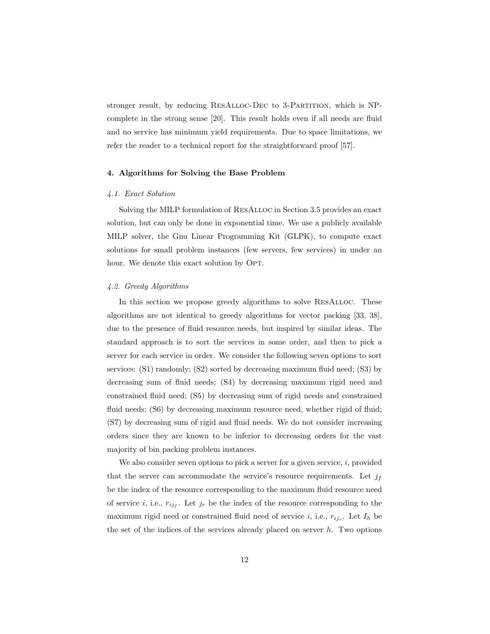stronger result, by reducing RESALLOC-DEC to 3-PARTITION, which is NPcomplete in the strong sense [20]. This result holds even if all needs are fluid and no service has minimum yield requirements. Due to space limitations, we refer the reader to a technical report for the straightforward proof [57].

### 4. Algorithms for Solving the Base Problem

#### 4.1. Exact Solution

Solving the MILP formulation of ResAlloc in Section 3.5 provides an exact solution, but can only be done in exponential time. We use a publicly available MILP solver, the Gnu Linear Programming Kit (GLPK), to compute exact solutions for small problem instances (few servers, few services) in under an hour. We denote this exact solution by OPT.

# 4.2. Greedy Algorithms

In this section we propose greedy algorithms to solve ResAlloc. These algorithms are not identical to greedy algorithms for vector packing [33, 38], due to the presence of fluid resource needs, but inspired by similar ideas. The standard approach is to sort the services in some order, and then to pick a server for each service in order. We consider the following seven options to sort services: (S1) randomly; (S2) sorted by decreasing maximum fluid need; (S3) by decreasing sum of fluid needs; (S4) by decreasing maximum rigid need and constrained fluid need; (S5) by decreasing sum of rigid needs and constrained fluid needs; (S6) by decreasing maximum resource need, whether rigid of fluid; (S7) by decreasing sum of rigid and fluid needs. We do not consider increasing orders since they are known to be inferior to decreasing orders for the vast majority of bin packing problem instances.

We also consider seven options to pick a server for a given service,  $i$ , provided that the server can accommodate the service's resource requirements. Let  $j_f$ be the index of the resource corresponding to the maximum fluid resource need of service *i*, i.e.,  $r_{ijf}$ . Let  $j_r$  be the index of the resource corresponding to the maximum rigid need or constrained fluid need of service *i*, i.e.,  $r_{ij_r}$ . Let  $I_h$  be the set of the indices of the services already placed on server  $h$ . Two options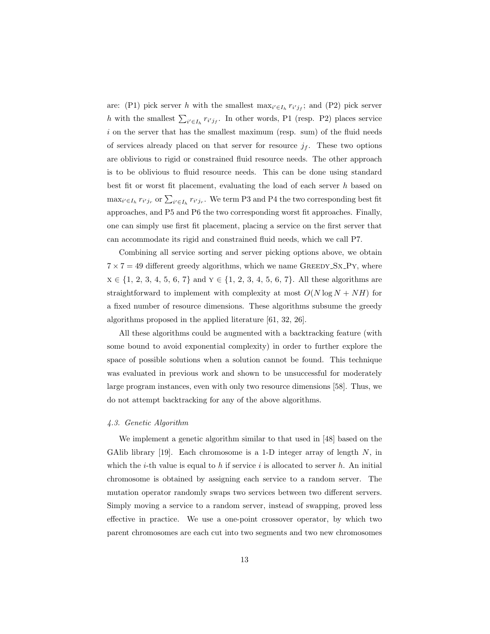are: (P1) pick server h with the smallest  $\max_{i' \in I_h} r_{i'j_j}$ ; and (P2) pick server h with the smallest  $\sum_{i' \in I_h} r_{i'j}$ . In other words, P1 (resp. P2) places service  $i$  on the server that has the smallest maximum (resp. sum) of the fluid needs of services already placed on that server for resource  $j_f$ . These two options are oblivious to rigid or constrained fluid resource needs. The other approach is to be oblivious to fluid resource needs. This can be done using standard best fit or worst fit placement, evaluating the load of each server  $h$  based on  $\max_{i' \in I_h} r_{i'j_r}$  or  $\sum_{i' \in I_h} r_{i'j_r}$ . We term P3 and P4 the two corresponding best fit approaches, and P5 and P6 the two corresponding worst fit approaches. Finally, one can simply use first fit placement, placing a service on the first server that can accommodate its rigid and constrained fluid needs, which we call P7.

Combining all service sorting and server picking options above, we obtain  $7 \times 7 = 49$  different greedy algorithms, which we name GREEDY\_SX\_PY, where  $x \in \{1, 2, 3, 4, 5, 6, 7\}$  and  $y \in \{1, 2, 3, 4, 5, 6, 7\}$ . All these algorithms are straightforward to implement with complexity at most  $O(N \log N + NH)$  for a fixed number of resource dimensions. These algorithms subsume the greedy algorithms proposed in the applied literature [61, 32, 26].

All these algorithms could be augmented with a backtracking feature (with some bound to avoid exponential complexity) in order to further explore the space of possible solutions when a solution cannot be found. This technique was evaluated in previous work and shown to be unsuccessful for moderately large program instances, even with only two resource dimensions [58]. Thus, we do not attempt backtracking for any of the above algorithms.

#### 4.3. Genetic Algorithm

We implement a genetic algorithm similar to that used in [48] based on the GAlib library  $[19]$ . Each chromosome is a 1-D integer array of length N, in which the *i*-th value is equal to h if service i is allocated to server h. An initial chromosome is obtained by assigning each service to a random server. The mutation operator randomly swaps two services between two different servers. Simply moving a service to a random server, instead of swapping, proved less effective in practice. We use a one-point crossover operator, by which two parent chromosomes are each cut into two segments and two new chromosomes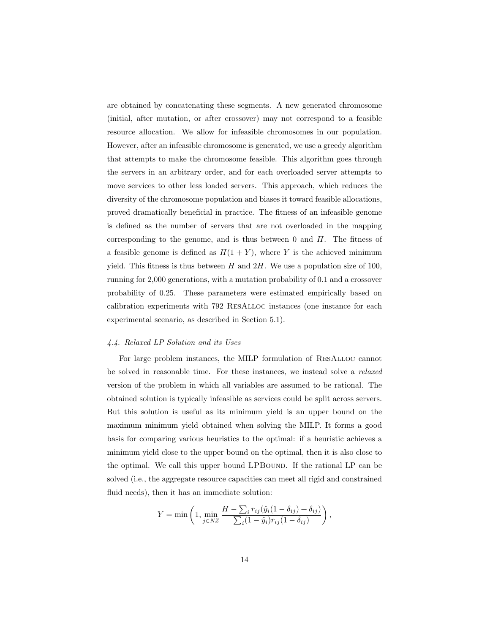are obtained by concatenating these segments. A new generated chromosome (initial, after mutation, or after crossover) may not correspond to a feasible resource allocation. We allow for infeasible chromosomes in our population. However, after an infeasible chromosome is generated, we use a greedy algorithm that attempts to make the chromosome feasible. This algorithm goes through the servers in an arbitrary order, and for each overloaded server attempts to move services to other less loaded servers. This approach, which reduces the diversity of the chromosome population and biases it toward feasible allocations, proved dramatically beneficial in practice. The fitness of an infeasible genome is defined as the number of servers that are not overloaded in the mapping corresponding to the genome, and is thus between  $0$  and  $H$ . The fitness of a feasible genome is defined as  $H(1 + Y)$ , where Y is the achieved minimum yield. This fitness is thus between H and  $2H$ . We use a population size of 100, running for 2,000 generations, with a mutation probability of 0.1 and a crossover probability of 0.25. These parameters were estimated empirically based on calibration experiments with 792 ResAlloc instances (one instance for each experimental scenario, as described in Section 5.1).

# 4.4. Relaxed LP Solution and its Uses

For large problem instances, the MILP formulation of ResAlloc cannot be solved in reasonable time. For these instances, we instead solve a relaxed version of the problem in which all variables are assumed to be rational. The obtained solution is typically infeasible as services could be split across servers. But this solution is useful as its minimum yield is an upper bound on the maximum minimum yield obtained when solving the MILP. It forms a good basis for comparing various heuristics to the optimal: if a heuristic achieves a minimum yield close to the upper bound on the optimal, then it is also close to the optimal. We call this upper bound LPBound. If the rational LP can be solved (i.e., the aggregate resource capacities can meet all rigid and constrained fluid needs), then it has an immediate solution:

$$
Y = \min\left(1, \min_{j \in NZ} \frac{H - \sum_i r_{ij}(\hat{y}_i(1 - \delta_{ij}) + \delta_{ij})}{\sum_i (1 - \hat{y}_i)r_{ij}(1 - \delta_{ij})}\right),
$$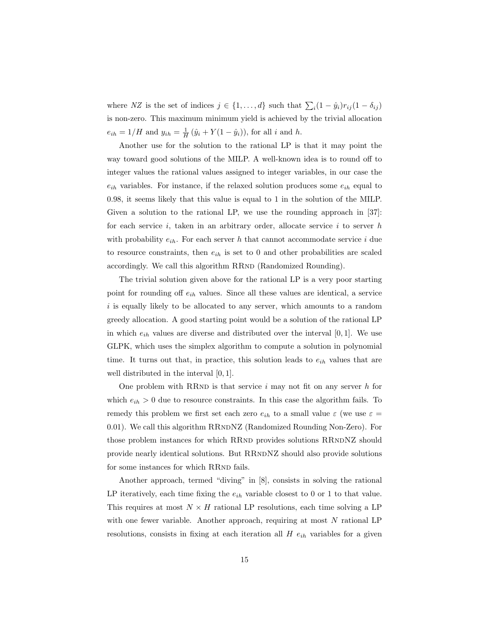where NZ is the set of indices  $j \in \{1, ..., d\}$  such that  $\sum_i (1 - \hat{y}_i) r_{ij} (1 - \delta_{ij})$ is non-zero. This maximum minimum yield is achieved by the trivial allocation  $e_{ih} = 1/H$  and  $y_{ih} = \frac{1}{H} (\hat{y}_i + Y(1 - \hat{y}_i)),$  for all i and h.

Another use for the solution to the rational LP is that it may point the way toward good solutions of the MILP. A well-known idea is to round off to integer values the rational values assigned to integer variables, in our case the  $e_{ih}$  variables. For instance, if the relaxed solution produces some  $e_{ih}$  equal to 0.98, it seems likely that this value is equal to 1 in the solution of the MILP. Given a solution to the rational LP, we use the rounding approach in [37]: for each service  $i$ , taken in an arbitrary order, allocate service  $i$  to server  $h$ with probability  $e_{ih}$ . For each server h that cannot accommodate service i due to resource constraints, then  $e_{ih}$  is set to 0 and other probabilities are scaled accordingly. We call this algorithm RRND (Randomized Rounding).

The trivial solution given above for the rational LP is a very poor starting point for rounding off  $e_{ih}$  values. Since all these values are identical, a service i is equally likely to be allocated to any server, which amounts to a random greedy allocation. A good starting point would be a solution of the rational LP in which  $e_{ih}$  values are diverse and distributed over the interval [0, 1]. We use GLPK, which uses the simplex algorithm to compute a solution in polynomial time. It turns out that, in practice, this solution leads to  $e_{ih}$  values that are well distributed in the interval [0, 1].

One problem with RRND is that service  $i$  may not fit on any server  $h$  for which  $e_{ih} > 0$  due to resource constraints. In this case the algorithm fails. To remedy this problem we first set each zero  $e_{ih}$  to a small value  $\varepsilon$  (we use  $\varepsilon =$ 0.01). We call this algorithm RRNDNZ (Randomized Rounding Non-Zero). For those problem instances for which RRND provides solutions RRNDNZ should provide nearly identical solutions. But RRNDNZ should also provide solutions for some instances for which RRND fails.

Another approach, termed "diving" in [8], consists in solving the rational LP iteratively, each time fixing the  $e_{ih}$  variable closest to 0 or 1 to that value. This requires at most  $N \times H$  rational LP resolutions, each time solving a LP with one fewer variable. Another approach, requiring at most  $N$  rational LP resolutions, consists in fixing at each iteration all  $H e_{ih}$  variables for a given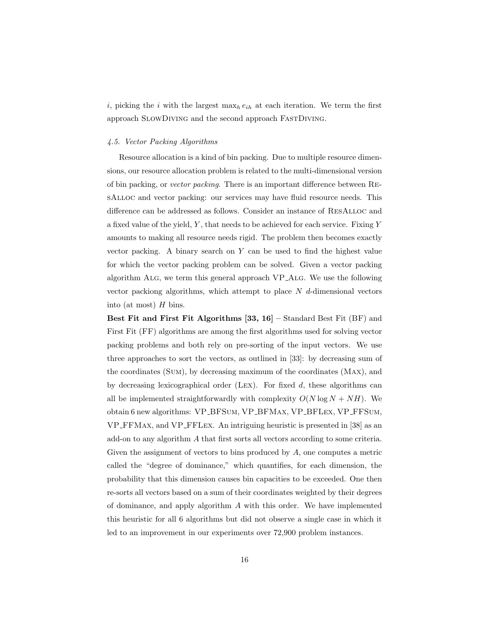i, picking the i with the largest  $\max_h e_{ih}$  at each iteration. We term the first approach SlowDiving and the second approach FastDiving.

#### 4.5. Vector Packing Algorithms

Resource allocation is a kind of bin packing. Due to multiple resource dimensions, our resource allocation problem is related to the multi-dimensional version of bin packing, or vector packing. There is an important difference between ResAlloc and vector packing: our services may have fluid resource needs. This difference can be addressed as follows. Consider an instance of ResAlloc and a fixed value of the yield, Y , that needs to be achieved for each service. Fixing Y amounts to making all resource needs rigid. The problem then becomes exactly vector packing. A binary search on  $Y$  can be used to find the highest value for which the vector packing problem can be solved. Given a vector packing algorithm Alg, we term this general approach VP Alg. We use the following vector packiong algorithms, which attempt to place  $N$  d-dimensional vectors into (at most)  $H$  bins.

Best Fit and First Fit Algorithms [33, 16] – Standard Best Fit (BF) and First Fit (FF) algorithms are among the first algorithms used for solving vector packing problems and both rely on pre-sorting of the input vectors. We use three approaches to sort the vectors, as outlined in [33]: by decreasing sum of the coordinates (Sum), by decreasing maximum of the coordinates (Max), and by decreasing lexicographical order (LEX). For fixed  $d$ , these algorithms can all be implemented straightforwardly with complexity  $O(N \log N + NH)$ . We obtain 6 new algorithms: VP\_BFSUM, VP\_BFMAX, VP\_BFLEX, VP\_FFSUM, VP FFMax, and VP FFLex. An intriguing heuristic is presented in [38] as an add-on to any algorithm A that first sorts all vectors according to some criteria. Given the assignment of vectors to bins produced by A, one computes a metric called the "degree of dominance," which quantifies, for each dimension, the probability that this dimension causes bin capacities to be exceeded. One then re-sorts all vectors based on a sum of their coordinates weighted by their degrees of dominance, and apply algorithm A with this order. We have implemented this heuristic for all 6 algorithms but did not observe a single case in which it led to an improvement in our experiments over 72,900 problem instances.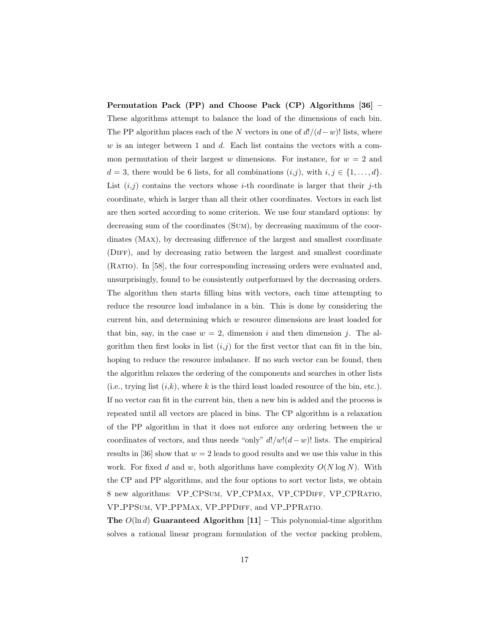Permutation Pack (PP) and Choose Pack (CP) Algorithms [36] – These algorithms attempt to balance the load of the dimensions of each bin. The PP algorithm places each of the N vectors in one of  $d!/(d-w)!$  lists, where  $w$  is an integer between 1 and  $d$ . Each list contains the vectors with a common permutation of their largest w dimensions. For instance, for  $w = 2$  and  $d = 3$ , there would be 6 lists, for all combinations  $(i,j)$ , with  $i, j \in \{1, \ldots, d\}$ . List  $(i,j)$  contains the vectors whose *i*-th coordinate is larger that their *j*-th coordinate, which is larger than all their other coordinates. Vectors in each list are then sorted according to some criterion. We use four standard options: by decreasing sum of the coordinates (Sum), by decreasing maximum of the coordinates (Max), by decreasing difference of the largest and smallest coordinate (Diff), and by decreasing ratio between the largest and smallest coordinate (Ratio). In [58], the four corresponding increasing orders were evaluated and, unsurprisingly, found to be consistently outperformed by the decreasing orders. The algorithm then starts filling bins with vectors, each time attempting to reduce the resource load imbalance in a bin. This is done by considering the current bin, and determining which w resource dimensions are least loaded for that bin, say, in the case  $w = 2$ , dimension i and then dimension j. The algorithm then first looks in list  $(i,j)$  for the first vector that can fit in the bin, hoping to reduce the resource imbalance. If no such vector can be found, then the algorithm relaxes the ordering of the components and searches in other lists (i.e., trying list  $(i,k)$ , where k is the third least loaded resource of the bin, etc.). If no vector can fit in the current bin, then a new bin is added and the process is repeated until all vectors are placed in bins. The CP algorithm is a relaxation of the PP algorithm in that it does not enforce any ordering between the  $w$ coordinates of vectors, and thus needs "only"  $d!/w!(d-w)!$  lists. The empirical results in [36] show that  $w = 2$  leads to good results and we use this value in this work. For fixed d and w, both algorithms have complexity  $O(N \log N)$ . With the CP and PP algorithms, and the four options to sort vector lists, we obtain 8 new algorithms: VP CPSum, VP CPMax, VP CPDiff, VP CPRatio, VP\_PPSUM, VP\_PPMAX, VP\_PPDIFF, and VP\_PPRATIO.

The  $O(\ln d)$  Guaranteed Algorithm [11] – This polynomial-time algorithm solves a rational linear program formulation of the vector packing problem,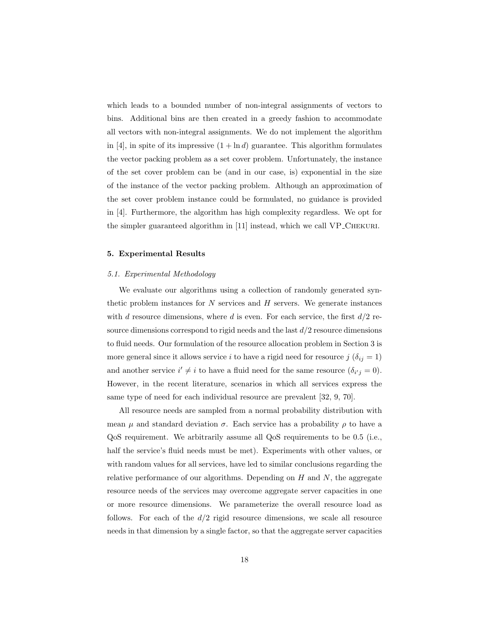which leads to a bounded number of non-integral assignments of vectors to bins. Additional bins are then created in a greedy fashion to accommodate all vectors with non-integral assignments. We do not implement the algorithm in [4], in spite of its impressive  $(1 + \ln d)$  guarantee. This algorithm formulates the vector packing problem as a set cover problem. Unfortunately, the instance of the set cover problem can be (and in our case, is) exponential in the size of the instance of the vector packing problem. Although an approximation of the set cover problem instance could be formulated, no guidance is provided in [4]. Furthermore, the algorithm has high complexity regardless. We opt for the simpler guaranteed algorithm in [11] instead, which we call VP Chekuri.

#### 5. Experimental Results

#### 5.1. Experimental Methodology

We evaluate our algorithms using a collection of randomly generated synthetic problem instances for  $N$  services and  $H$  servers. We generate instances with d resource dimensions, where d is even. For each service, the first  $d/2$  resource dimensions correspond to rigid needs and the last  $d/2$  resource dimensions to fluid needs. Our formulation of the resource allocation problem in Section 3 is more general since it allows service i to have a rigid need for resource  $j(\delta_{ij} = 1)$ and another service  $i' \neq i$  to have a fluid need for the same resource  $(\delta_{i'j} = 0)$ . However, in the recent literature, scenarios in which all services express the same type of need for each individual resource are prevalent [32, 9, 70].

All resource needs are sampled from a normal probability distribution with mean  $\mu$  and standard deviation  $\sigma$ . Each service has a probability  $\rho$  to have a QoS requirement. We arbitrarily assume all QoS requirements to be 0.5 (i.e., half the service's fluid needs must be met). Experiments with other values, or with random values for all services, have led to similar conclusions regarding the relative performance of our algorithms. Depending on  $H$  and  $N$ , the aggregate resource needs of the services may overcome aggregate server capacities in one or more resource dimensions. We parameterize the overall resource load as follows. For each of the  $d/2$  rigid resource dimensions, we scale all resource needs in that dimension by a single factor, so that the aggregate server capacities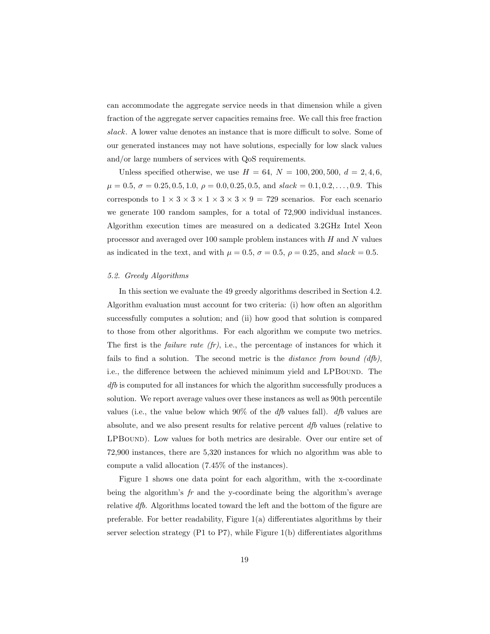can accommodate the aggregate service needs in that dimension while a given fraction of the aggregate server capacities remains free. We call this free fraction slack. A lower value denotes an instance that is more difficult to solve. Some of our generated instances may not have solutions, especially for low slack values and/or large numbers of services with QoS requirements.

Unless specified otherwise, we use  $H = 64$ ,  $N = 100, 200, 500, d = 2, 4, 6$ ,  $\mu = 0.5, \sigma = 0.25, 0.5, 1.0, \rho = 0.0, 0.25, 0.5, \text{ and } slack = 0.1, 0.2, \ldots, 0.9.$  This corresponds to  $1 \times 3 \times 3 \times 1 \times 3 \times 3 \times 9 = 729$  scenarios. For each scenario we generate 100 random samples, for a total of 72,900 individual instances. Algorithm execution times are measured on a dedicated 3.2GHz Intel Xeon processor and averaged over 100 sample problem instances with H and N values as indicated in the text, and with  $\mu = 0.5$ ,  $\sigma = 0.5$ ,  $\rho = 0.25$ , and slack = 0.5.

#### 5.2. Greedy Algorithms

In this section we evaluate the 49 greedy algorithms described in Section 4.2. Algorithm evaluation must account for two criteria: (i) how often an algorithm successfully computes a solution; and (ii) how good that solution is compared to those from other algorithms. For each algorithm we compute two metrics. The first is the *failure rate (fr)*, i.e., the percentage of instances for which it fails to find a solution. The second metric is the *distance from bound (dfb)*, i.e., the difference between the achieved minimum yield and LPBOUND. The dfb is computed for all instances for which the algorithm successfully produces a solution. We report average values over these instances as well as 90th percentile values (i.e., the value below which  $90\%$  of the *dfb* values fall). *dfb* values are absolute, and we also present results for relative percent dfb values (relative to LPBOUND). Low values for both metrics are desirable. Over our entire set of 72,900 instances, there are 5,320 instances for which no algorithm was able to compute a valid allocation (7.45% of the instances).

Figure 1 shows one data point for each algorithm, with the x-coordinate being the algorithm's fr and the y-coordinate being the algorithm's average relative dfb. Algorithms located toward the left and the bottom of the figure are preferable. For better readability, Figure  $1(a)$  differentiates algorithms by their server selection strategy (P1 to P7), while Figure 1(b) differentiates algorithms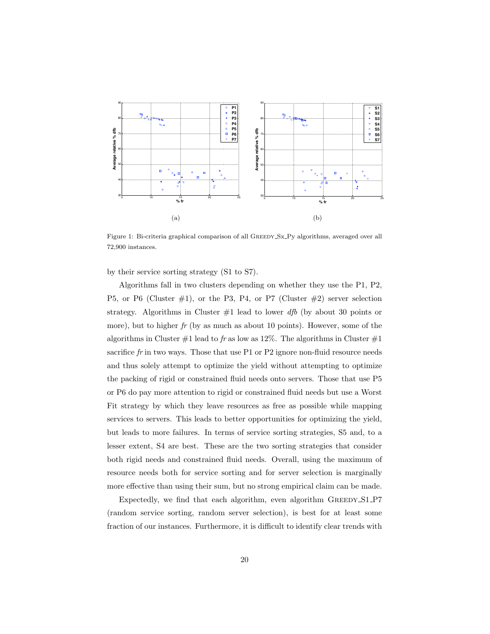

Figure 1: Bi-criteria graphical comparison of all GREEDY\_Sx\_Py algorithms, averaged over all 72,900 instances.

by their service sorting strategy (S1 to S7).

Algorithms fall in two clusters depending on whether they use the P1, P2, P5, or P6 (Cluster  $\#1$ ), or the P3, P4, or P7 (Cluster  $\#2$ ) server selection strategy. Algorithms in Cluster  $#1$  lead to lower dfb (by about 30 points or more), but to higher  $fr$  (by as much as about 10 points). However, some of the algorithms in Cluster  $#1$  lead to fr as low as 12%. The algorithms in Cluster  $#1$ sacrifice  $fr$  in two ways. Those that use P1 or P2 ignore non-fluid resource needs and thus solely attempt to optimize the yield without attempting to optimize the packing of rigid or constrained fluid needs onto servers. Those that use P5 or P6 do pay more attention to rigid or constrained fluid needs but use a Worst Fit strategy by which they leave resources as free as possible while mapping services to servers. This leads to better opportunities for optimizing the yield, but leads to more failures. In terms of service sorting strategies, S5 and, to a lesser extent, S4 are best. These are the two sorting strategies that consider both rigid needs and constrained fluid needs. Overall, using the maximum of resource needs both for service sorting and for server selection is marginally more effective than using their sum, but no strong empirical claim can be made.

Expectedly, we find that each algorithm, even algorithm  $G$ REEDY\_S1\_P7 (random service sorting, random server selection), is best for at least some fraction of our instances. Furthermore, it is difficult to identify clear trends with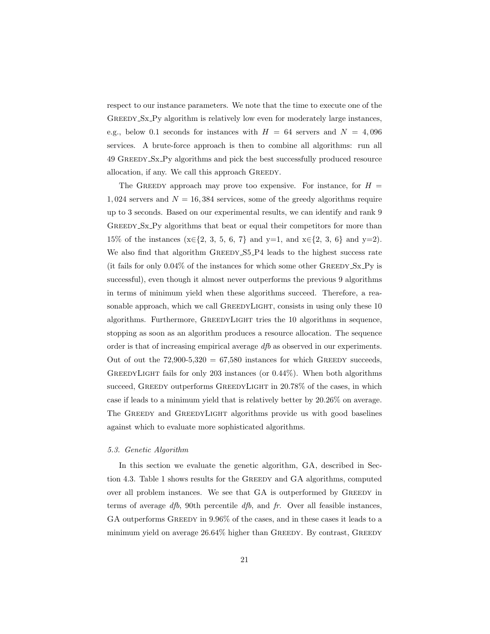respect to our instance parameters. We note that the time to execute one of the GREEDY\_Sx\_Py algorithm is relatively low even for moderately large instances, e.g., below 0.1 seconds for instances with  $H = 64$  servers and  $N = 4,096$ services. A brute-force approach is then to combine all algorithms: run all 49 Greedy Sx Py algorithms and pick the best successfully produced resource allocation, if any. We call this approach GREEDY.

The GREEDY approach may prove too expensive. For instance, for  $H =$ 1, 024 servers and  $N = 16,384$  services, some of the greedy algorithms require up to 3 seconds. Based on our experimental results, we can identify and rank 9 GREEDY\_Sx\_Py algorithms that beat or equal their competitors for more than 15% of the instances ( $x \in \{2, 3, 5, 6, 7\}$  and  $y=1$ , and  $x \in \{2, 3, 6\}$  and  $y=2$ ). We also find that algorithm GREEDY\_S5\_P4 leads to the highest success rate (it fails for only  $0.04\%$  of the instances for which some other GREEDY\_Sx\_Py is successful), even though it almost never outperforms the previous 9 algorithms in terms of minimum yield when these algorithms succeed. Therefore, a reasonable approach, which we call GREEDYLIGHT, consists in using only these 10 algorithms. Furthermore, GREEDYLIGHT tries the 10 algorithms in sequence, stopping as soon as an algorithm produces a resource allocation. The sequence order is that of increasing empirical average dfb as observed in our experiments. Out of out the  $72,900-5,320 = 67,580$  instances for which GREEDY succeeds, GREEDYLIGHT fails for only 203 instances (or  $0.44\%$ ). When both algorithms succeed, GREEDY outperforms GREEDYLIGHT in 20.78% of the cases, in which case if leads to a minimum yield that is relatively better by 20.26% on average. The GREEDY and GREEDYLIGHT algorithms provide us with good baselines against which to evaluate more sophisticated algorithms.

#### 5.3. Genetic Algorithm

In this section we evaluate the genetic algorithm, GA, described in Section 4.3. Table 1 shows results for the GREEDY and GA algorithms, computed over all problem instances. We see that GA is outperformed by GREEDY in terms of average dfb, 90th percentile dfb, and fr. Over all feasible instances, GA outperforms GREEDY in  $9.96\%$  of the cases, and in these cases it leads to a minimum yield on average  $26.64\%$  higher than GREEDY. By contrast, GREEDY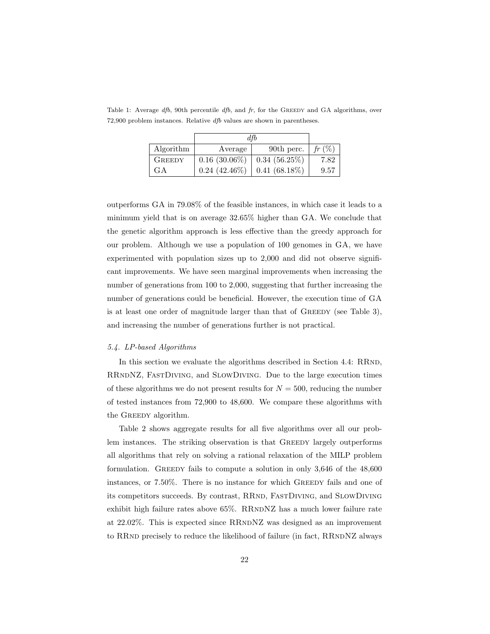|               | dfb             |                 |          |
|---------------|-----------------|-----------------|----------|
| Algorithm     | Average         | 90th perc.      | $fr(\%)$ |
| <b>GREEDY</b> | $0.16$ (30.06%) | $0.34(56.25\%)$ | 7.82     |
| GA.           | $0.24(42.46\%)$ | $0.41(68.18\%)$ | 9.57     |

Table 1: Average dfb, 90th percentile dfb, and fr, for the GREEDY and GA algorithms, over 72,900 problem instances. Relative dfb values are shown in parentheses.

outperforms GA in 79.08% of the feasible instances, in which case it leads to a minimum yield that is on average 32.65% higher than GA. We conclude that the genetic algorithm approach is less effective than the greedy approach for our problem. Although we use a population of 100 genomes in GA, we have experimented with population sizes up to 2,000 and did not observe significant improvements. We have seen marginal improvements when increasing the number of generations from 100 to 2,000, suggesting that further increasing the number of generations could be beneficial. However, the execution time of GA is at least one order of magnitude larger than that of GREEDY (see Table  $3$ ), and increasing the number of generations further is not practical.

#### 5.4. LP-based Algorithms

In this section we evaluate the algorithms described in Section 4.4: RRND, RRndNZ, FastDiving, and SlowDiving. Due to the large execution times of these algorithms we do not present results for  $N = 500$ , reducing the number of tested instances from 72,900 to 48,600. We compare these algorithms with the Greedy algorithm.

Table 2 shows aggregate results for all five algorithms over all our problem instances. The striking observation is that Greedy largely outperforms all algorithms that rely on solving a rational relaxation of the MILP problem formulation. GREEDY fails to compute a solution in only 3,646 of the 48,600 instances, or 7.50%. There is no instance for which Greedy fails and one of its competitors succeeds. By contrast, RRnd, FastDiving, and SlowDiving exhibit high failure rates above 65%. RRNDNZ has a much lower failure rate at 22.02%. This is expected since RRNDNZ was designed as an improvement to RRND precisely to reduce the likelihood of failure (in fact, RRNDNZ always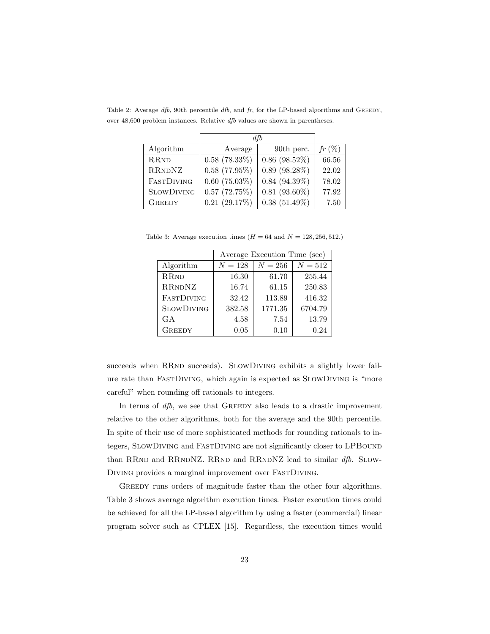|                   | dfb             |                  |                      |
|-------------------|-----------------|------------------|----------------------|
| Algorithm         | Average         | 90th perc.       | $fr\left(\% \right)$ |
| <b>RRND</b>       | $0.58(78.33\%)$ | $0.86$ (98.52%)  | 66.56                |
| <b>RRNDNZ</b>     | $0.58$ (77.95%) | $0.89(98.28\%)$  | 22.02                |
| FASTDIVING        | $0.60$ (75.03%) | $0.84~(94.39\%)$ | 78.02                |
| <b>SLOWDIVING</b> | 0.57(72.75%)    | $0.81(93.60\%)$  | 77.92                |
| <b>GREEDY</b>     | 0.21(29.17%)    | $0.38(51.49\%)$  | 7.50                 |

Table 2: Average  $dfb$ , 90th percentile  $dfb$ , and  $fr$ , for the LP-based algorithms and GREEDY, over 48,600 problem instances. Relative dfb values are shown in parentheses.

Table 3: Average execution times  $(H = 64$  and  $N = 128, 256, 512.)$ 

|                   | Average Execution Time (sec) |           |           |  |  |  |  |
|-------------------|------------------------------|-----------|-----------|--|--|--|--|
| Algorithm         | $N = 128$                    | $N = 256$ | $N = 512$ |  |  |  |  |
| <b>RRND</b>       | 16.30                        | 61.70     | 255.44    |  |  |  |  |
| RRNDNZ            | 16.74                        | 61.15     | 250.83    |  |  |  |  |
| FASTDIVING        | 32.42                        | 113.89    | 416.32    |  |  |  |  |
| <b>SLOWDIVING</b> | 382.58                       | 1771.35   | 6704.79   |  |  |  |  |
| GA.               | 4.58                         | 7.54      | 13.79     |  |  |  |  |
| <b>GREEDY</b>     | 0.05                         | 0.10      | 0.24      |  |  |  |  |

succeeds when RRND succeeds). SLOWDIVING exhibits a slightly lower failure rate than FastDiving, which again is expected as SlowDiving is "more careful" when rounding off rationals to integers.

In terms of dfb, we see that GREEDY also leads to a drastic improvement relative to the other algorithms, both for the average and the 90th percentile. In spite of their use of more sophisticated methods for rounding rationals to integers, SlowDiving and FastDiving are not significantly closer to LPBound than RRND and RRNDNZ. RRND and RRNDNZ lead to similar  $dfb$ . SLOW-Diving provides a marginal improvement over FastDiving.

GREEDY runs orders of magnitude faster than the other four algorithms. Table 3 shows average algorithm execution times. Faster execution times could be achieved for all the LP-based algorithm by using a faster (commercial) linear program solver such as CPLEX [15]. Regardless, the execution times would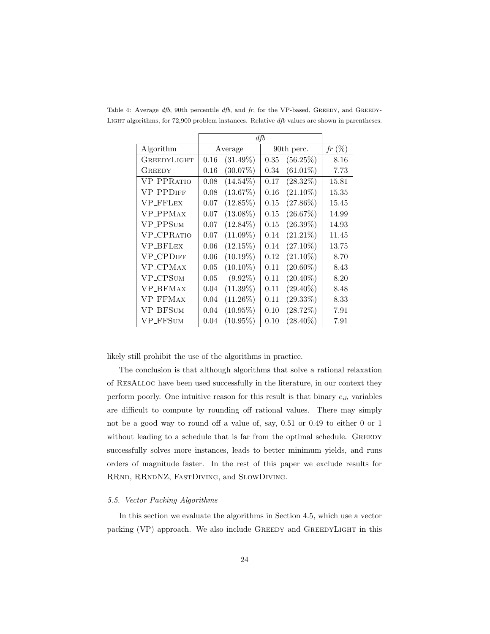| Algorithm         | Average |             | 90th perc. |             | $fr\left(\% \right)$ |
|-------------------|---------|-------------|------------|-------------|----------------------|
| GREEDYLIGHT       | 0.16    | $(31.49\%)$ | 0.35       | $(56.25\%)$ | 8.16                 |
| <b>GREEDY</b>     | 0.16    | $(30.07\%)$ | 0.34       | $(61.01\%)$ | 7.73                 |
| <b>VP_PPRATIO</b> | 0.08    | $(14.54\%)$ | 0.17       | $(28.32\%)$ | 15.81                |
| <b>VP_PPDIFF</b>  | 0.08    | $(13.67\%)$ | 0.16       | $(21.10\%)$ | 15.35                |
| <b>VP FFLEX</b>   | 0.07    | $(12.85\%)$ | 0.15       | $(27.86\%)$ | 15.45                |
| VP_PPMAX          | 0.07    | $(13.08\%)$ | $0.15\,$   | (26.67%)    | 14.99                |
| VP_PPSUM          | 0.07    | $(12.84\%)$ | 0.15       | $(26.39\%)$ | 14.93                |
| VP_CPRATIO        | 0.07    | $(11.09\%)$ | 0.14       | $(21.21\%)$ | 11.45                |
| <b>VP BFLEX</b>   | 0.06    | $(12.15\%)$ | 0.14       | $(27.10\%)$ | 13.75                |
| <b>VP_CPDIFF</b>  | 0.06    | $(10.19\%)$ | 0.12       | $(21.10\%)$ | 8.70                 |
| VP_CPMAX          | 0.05    | $(10.10\%)$ | 0.11       | $(20.60\%)$ | 8.43                 |
| VP_CPSUM          | 0.05    | $(9.92\%)$  | 0.11       | $(20.40\%)$ | 8.20                 |
| <b>VP_BFMAX</b>   | 0.04    | $(11.39\%)$ | 0.11       | $(29.40\%)$ | 8.48                 |
| <b>VP_FFMAX</b>   | 0.04    | $(11.26\%)$ | 0.11       | $(29.33\%)$ | 8.33                 |
| VP_BFSUM          | 0.04    | $(10.95\%)$ | 0.10       | $(28.72\%)$ | 7.91                 |
| VP_FFSUM          | 0.04    | $(10.95\%)$ | 0.10       | $(28.40\%)$ | 7.91                 |

Table 4: Average  $dfb$ , 90th percentile  $dfb$ , and  $fr$ , for the VP-based, GREEDY, and GREEDY-LIGHT algorithms, for  $72,900$  problem instances. Relative  $dfb$  values are shown in parentheses.

likely still prohibit the use of the algorithms in practice.

The conclusion is that although algorithms that solve a rational relaxation of ResAlloc have been used successfully in the literature, in our context they perform poorly. One intuitive reason for this result is that binary  $e_{ih}$  variables are difficult to compute by rounding off rational values. There may simply not be a good way to round off a value of, say, 0.51 or 0.49 to either 0 or 1 without leading to a schedule that is far from the optimal schedule. GREEDY successfully solves more instances, leads to better minimum yields, and runs orders of magnitude faster. In the rest of this paper we exclude results for RRnd, RRndNZ, FastDiving, and SlowDiving.

#### 5.5. Vector Packing Algorithms

In this section we evaluate the algorithms in Section 4.5, which use a vector packing (VP) approach. We also include GREEDY and GREEDYLIGHT in this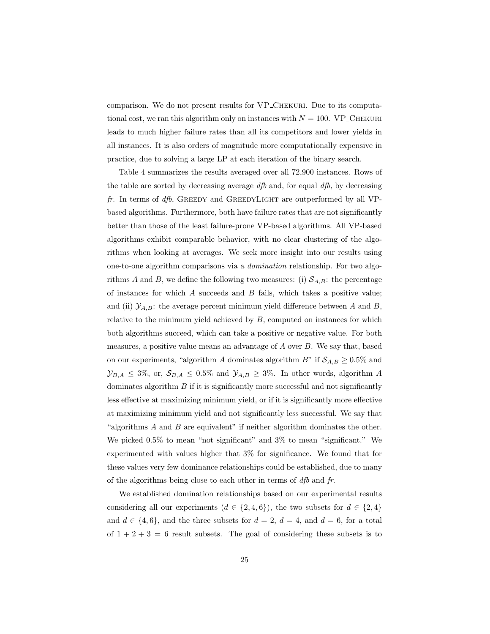comparison. We do not present results for VP Chekuri. Due to its computational cost, we ran this algorithm only on instances with  $N = 100$ . VP\_CHEKURI leads to much higher failure rates than all its competitors and lower yields in all instances. It is also orders of magnitude more computationally expensive in practice, due to solving a large LP at each iteration of the binary search.

Table 4 summarizes the results averaged over all 72,900 instances. Rows of the table are sorted by decreasing average  $dfb$  and, for equal  $dfb$ , by decreasing  $fr.$  In terms of  $dfb$ , GREEDY and GREEDYLIGHT are outperformed by all VPbased algorithms. Furthermore, both have failure rates that are not significantly better than those of the least failure-prone VP-based algorithms. All VP-based algorithms exhibit comparable behavior, with no clear clustering of the algorithms when looking at averages. We seek more insight into our results using one-to-one algorithm comparisons via a domination relationship. For two algorithms A and B, we define the following two measures: (i)  $S_{A,B}$ : the percentage of instances for which  $A$  succeeds and  $B$  fails, which takes a positive value; and (ii)  $\mathcal{Y}_{A,B}$ : the average percent minimum yield difference between A and B, relative to the minimum yield achieved by  $B$ , computed on instances for which both algorithms succeed, which can take a positive or negative value. For both measures, a positive value means an advantage of A over B. We say that, based on our experiments, "algorithm A dominates algorithm B" if  $S_{A,B} \geq 0.5\%$  and  $\mathcal{Y}_{B,A} \leq 3\%$ , or,  $\mathcal{S}_{B,A} \leq 0.5\%$  and  $\mathcal{Y}_{A,B} \geq 3\%$ . In other words, algorithm A dominates algorithm  $B$  if it is significantly more successful and not significantly less effective at maximizing minimum yield, or if it is significantly more effective at maximizing minimum yield and not significantly less successful. We say that "algorithms  $A$  and  $B$  are equivalent" if neither algorithm dominates the other. We picked 0.5% to mean "not significant" and 3% to mean "significant." We experimented with values higher that 3% for significance. We found that for these values very few dominance relationships could be established, due to many of the algorithms being close to each other in terms of dfb and fr.

We established domination relationships based on our experimental results considering all our experiments  $(d \in \{2, 4, 6\})$ , the two subsets for  $d \in \{2, 4\}$ and  $d \in \{4, 6\}$ , and the three subsets for  $d = 2$ ,  $d = 4$ , and  $d = 6$ , for a total of  $1 + 2 + 3 = 6$  result subsets. The goal of considering these subsets is to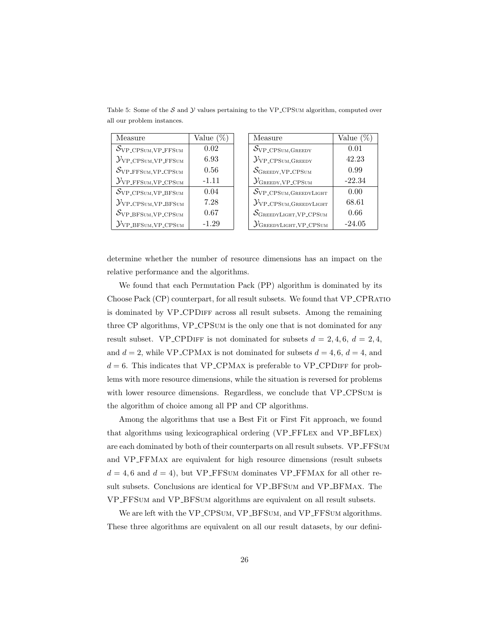| Measure                                    | Value $(\%)$ | Measure                                                      | Value $\binom{0}{2}$ |
|--------------------------------------------|--------------|--------------------------------------------------------------|----------------------|
| $\mathcal{S}_{\textrm{VP-CPSUM,VP-FFSUM}}$ | 0.02         | $\mathcal{S}_{\text{VP}\text{-}\text{CPSum}, \text{Greedy}}$ | 0.01                 |
| $y_{VP,CPSUM,VP,FFSUM}$                    | 6.93         | $y_{VP_{CPSUM,Greedy}}$                                      | 42.23                |
| $\mathcal{S}_{\text{VP\_FFSUM,VP\_CPSum}}$ | 0.56         | $\mathcal{S}_{\text{GreenY,VP\_CPSum}}$                      | 0.99                 |
| $y_{VP.FFSUM,VP.CPSUM}$                    | $-1.11$      | $\mathcal{Y}_{\text{GREEDY,VP\_CPSUM}}$                      | $-22.34$             |
| $\mathcal{S}_{\text{VP\_CPSUM,VP\_BFSum}}$ | 0.04         | $\mathcal{S}_{\text{VP\_CPSum, GREDYLIGHT}}$                 | 0.00                 |
| $y_{VP_CPSUM,VP_BFSUM}$                    | 7.28         | $y_{VP\text{-CPSum,}GREDYLIGHT}$                             | 68.61                |
| $\mathcal{S}_{\text{VP\_BFSUM,VP\_CPSum}}$ | 0.67         | $\mathcal{S}_{\text{GREEDYLIGHT,VP_CPSUM}}$                  | 0.66                 |
| $y_{VP\_BFSum, VP\_CPSum}$                 | $-1.29$      | $\mathcal{Y}_{\text{GREEDYLIGHT,VP\_CPSum}}$                 | $-24.05$             |

Table 5: Some of the  $S$  and  $\mathcal Y$  values pertaining to the VP\_CPSUM algorithm, computed over all our problem instances.

| Measure                                      | Value $(\%)$ | Measure                                           | Value $(\%)$ |
|----------------------------------------------|--------------|---------------------------------------------------|--------------|
| $\mathcal{S}_{\textrm{VP-CPSUM,VP-FFSUM}}$   | 0.02         | $\mathcal{S}_{\text{VP-CPSUM},\text{GREEDY}}$     | 0.01         |
| $\mathcal{Y}_{\text{VP\_CPSum, VP\_FFSum}}$  | 6.93         | $y_{VP_{CPSUM,Greedy}}$                           | 42.23        |
| $\mathcal{S}_{\text{VP\_FFSUM,VP\_CPSum}}$   | 0.56         | $\mathcal{S}_{\text{GREEDY,VP\_CPSUM}}$           | 0.99         |
| $\mathcal{Y}_{\text{VP\_FFSum,VP\_CPSum}}$   | $-1.11$      | $\mathcal{Y}_{\textsc{Greeny},\textsc{VP-CPSum}}$ | $-22.34$     |
| $\mathcal{S}_{\textrm{VP\_CPSum,VP\_BFSum}}$ | 0.04         | $\mathcal{S}_{\text{VP}\_CPSUM,GREDYLIGHT}$       | 0.00         |
| $\mathcal{Y}_{\text{VP\_CPSUM,VP\_BFSum}}$   | 7.28         | $\mathcal{Y}_{\text{VP}\_CPSUM,GREDYLIGHT}$       | 68.61        |
| $\mathcal{S}_{\text{VP\_BFSUM,VP\_CPSum}}$   | 0.67         | $\mathcal{S}_{\text{GREEDYLIGHT,VP_CPSUM}}$       | 0.66         |
| $\mathcal{Y}_{\text{VP\_BFSUM,VP\_CPSum}}$   | $-1.29$      | $\mathcal{Y}_{\text{GREEDYLIGHT, VP\_CPSUM}}$     | $-24.05$     |

determine whether the number of resource dimensions has an impact on the relative performance and the algorithms.

We found that each Permutation Pack (PP) algorithm is dominated by its Choose Pack (CP) counterpart, for all result subsets. We found that VP CPRatio is dominated by VP\_CPDIFF across all result subsets. Among the remaining three CP algorithms, VP CPSum is the only one that is not dominated for any result subset. VP\_CPDIFF is not dominated for subsets  $d = 2, 4, 6, d = 2, 4,$ and  $d = 2$ , while VP\_CPMAX is not dominated for subsets  $d = 4, 6, d = 4$ , and  $d = 6$ . This indicates that VP\_CPMAX is preferable to VP\_CPDIFF for problems with more resource dimensions, while the situation is reversed for problems with lower resource dimensions. Regardless, we conclude that VP\_CPSUM is the algorithm of choice among all PP and CP algorithms.

Among the algorithms that use a Best Fit or First Fit approach, we found that algorithms using lexicographical ordering (VP FFLex and VP BFLex) are each dominated by both of their counterparts on all result subsets. VP\_FFSUM and VP FFMax are equivalent for high resource dimensions (result subsets  $d = 4, 6$  and  $d = 4$ ), but VP\_FFSUM dominates VP\_FFMAX for all other result subsets. Conclusions are identical for VP\_BFSUM and VP\_BFMAX. The VP FFSum and VP BFSum algorithms are equivalent on all result subsets.

We are left with the VP\_CPSUM, VP\_BFSUM, and VP\_FFSUM algorithms. These three algorithms are equivalent on all our result datasets, by our defini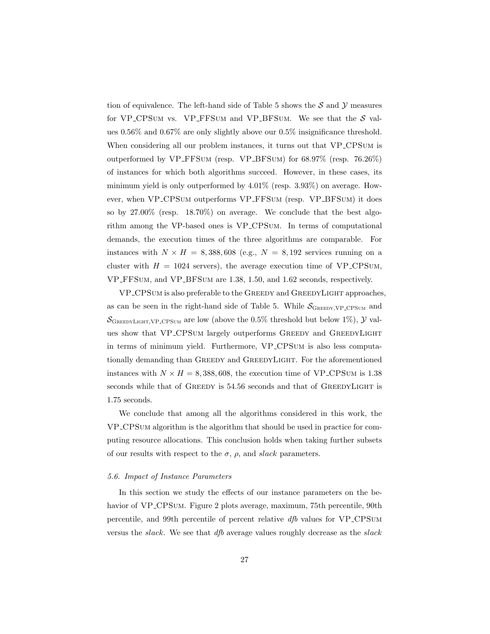tion of equivalence. The left-hand side of Table 5 shows the  $S$  and  $\mathcal Y$  measures for VP\_CPSUM vs. VP\_FFSUM and VP\_BFSUM. We see that the  $S$  values 0.56% and 0.67% are only slightly above our 0.5% insignificance threshold. When considering all our problem instances, it turns out that VP\_CPSuM is outperformed by VP FFSum (resp. VP BFSum) for 68.97% (resp. 76.26%) of instances for which both algorithms succeed. However, in these cases, its minimum yield is only outperformed by 4.01% (resp. 3.93%) on average. However, when VP CPSum outperforms VP FFSum (resp. VP BFSum) it does so by 27.00% (resp. 18.70%) on average. We conclude that the best algorithm among the VP-based ones is VP CPSum. In terms of computational demands, the execution times of the three algorithms are comparable. For instances with  $N \times H = 8,388,608$  (e.g.,  $N = 8,192$  services running on a cluster with  $H = 1024$  servers), the average execution time of VP\_CPSUM, VP FFSum, and VP BFSum are 1.38, 1.50, and 1.62 seconds, respectively.

VP CPSum is also preferable to the Greedy and GreedyLight approaches, as can be seen in the right-hand side of Table 5. While  $S_{\text{GREEN}',VP\text{-CPSUM}}$  and  $\mathcal{S}_{\text{GreenVLIGHT,VP_CPSUM}}$  are low (above the 0.5% threshold but below 1%),  $\mathcal{Y}$  values show that VP\_CPSUM largely outperforms GREEDY and GREEDYLIGHT in terms of minimum yield. Furthermore, VP CPSum is also less computationally demanding than GREEDY and GREEDYLIGHT. For the aforementioned instances with  $N \times H = 8,388,608$ , the execution time of VP\_CPSuM is 1.38 seconds while that of GREEDY is 54.56 seconds and that of GREEDYLIGHT is 1.75 seconds.

We conclude that among all the algorithms considered in this work, the VP CPSum algorithm is the algorithm that should be used in practice for computing resource allocations. This conclusion holds when taking further subsets of our results with respect to the  $\sigma$ ,  $\rho$ , and slack parameters.

#### 5.6. Impact of Instance Parameters

In this section we study the effects of our instance parameters on the behavior of VP CPSum. Figure 2 plots average, maximum, 75th percentile, 90th percentile, and 99th percentile of percent relative dfb values for VP CPSum versus the slack. We see that  $dfb$  average values roughly decrease as the slack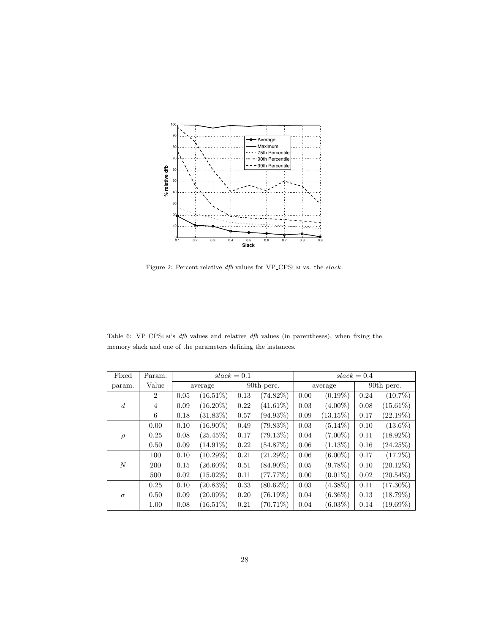

Figure 2: Percent relative  $dfb$  values for VP\_CPSuM vs. the slack.

Table 6: VP\_CPSUM's  $dfb$  values and relative  $dfb$  values (in parentheses), when fixing the memory slack and one of the parameters defining the instances.

| Fixed            | Param.         | $slack = 0.1$ |             |            |             | $slack = 0.4$ |             |            |             |
|------------------|----------------|---------------|-------------|------------|-------------|---------------|-------------|------------|-------------|
| param.           | Value          | average       |             | 90th perc. |             | average       |             | 90th perc. |             |
|                  | $\overline{2}$ | 0.05          | $(16.51\%)$ | 0.13       | $(74.82\%)$ | 0.00          | $(0.19\%)$  | 0.24       | $(10.7\%)$  |
| d                | 4              | 0.09          | $(16.20\%)$ | 0.22       | $(41.61\%)$ | 0.03          | $(4.00\%)$  | 0.08       | $(15.61\%)$ |
|                  | 6              | 0.18          | $(31.83\%)$ | 0.57       | $(94.93\%)$ | 0.09          | $(13.15\%)$ | 0.17       | $(22.19\%)$ |
|                  | 0.00           | 0.10          | $(16.90\%)$ | 0.49       | $(79.83\%)$ | 0.03          | $(5.14\%)$  | 0.10       | $(13.6\%)$  |
| $\rho$           | 0.25           | 0.08          | $(25.45\%)$ | 0.17       | $(79.13\%)$ | 0.04          | $(7.00\%)$  | 0.11       | $(18.92\%)$ |
|                  | 0.50           | 0.09          | $(14.91\%)$ | 0.22       | (54.87%)    | 0.06          | $(1.13\%)$  | 0.16       | $(24.25\%)$ |
|                  | 100            | 0.10          | $(10.29\%)$ | 0.21       | $(21.29\%)$ | 0.06          | $(6.00\%)$  | 0.17       | $(17.2\%)$  |
| $\boldsymbol{N}$ | 200            | 0.15          | $(26.60\%)$ | 0.51       | $(84.90\%)$ | 0.05          | $(9.78\%)$  | 0.10       | $(20.12\%)$ |
|                  | 500            | 0.02          | $(15.02\%)$ | 0.11       | (77.77%)    | 0.00          | $(0.01\%)$  | 0.02       | $(20.54\%)$ |
|                  | 0.25           | 0.10          | $(20.83\%)$ | 0.33       | $(80.62\%)$ | 0.03          | $(4.38\%)$  | 0.11       | $(17.30\%)$ |
| $\sigma$         | 0.50           | 0.09          | $(20.09\%)$ | 0.20       | $(76.19\%)$ | 0.04          | $(6.36\%)$  | 0.13       | $(18.79\%)$ |
|                  | 1.00           | 0.08          | $(16.51\%)$ | 0.21       | $(70.71\%)$ | 0.04          | $(6.03\%)$  | 0.14       | $(19.69\%)$ |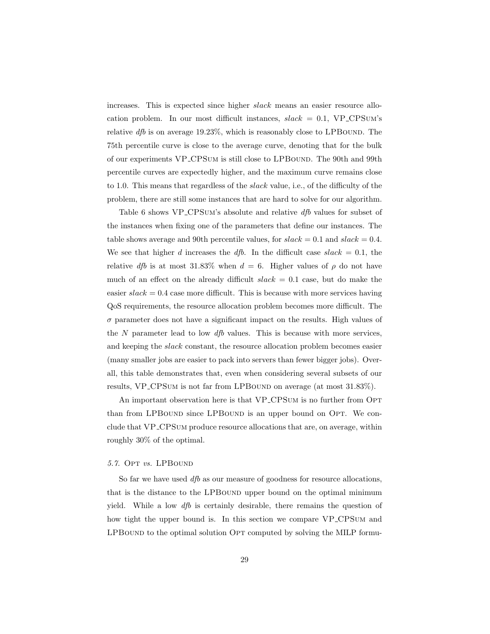increases. This is expected since higher slack means an easier resource allocation problem. In our most difficult instances,  $slack = 0.1$ ,  $VP\_CPSUM's$ relative  $dfb$  is on average 19.23%, which is reasonably close to LPBOUND. The 75th percentile curve is close to the average curve, denoting that for the bulk of our experiments VP CPSum is still close to LPBound. The 90th and 99th percentile curves are expectedly higher, and the maximum curve remains close to 1.0. This means that regardless of the slack value, i.e., of the difficulty of the problem, there are still some instances that are hard to solve for our algorithm.

Table 6 shows VP\_CPSUM's absolute and relative dfb values for subset of the instances when fixing one of the parameters that define our instances. The table shows average and 90th percentile values, for  $slack = 0.1$  and  $slack = 0.4$ . We see that higher d increases the dfb. In the difficult case slack  $= 0.1$ , the relative dfb is at most 31.83% when  $d = 6$ . Higher values of  $\rho$  do not have much of an effect on the already difficult  $slack = 0.1$  case, but do make the easier  $slack = 0.4$  case more difficult. This is because with more services having QoS requirements, the resource allocation problem becomes more difficult. The  $\sigma$  parameter does not have a significant impact on the results. High values of the  $N$  parameter lead to low  $dfb$  values. This is because with more services, and keeping the slack constant, the resource allocation problem becomes easier (many smaller jobs are easier to pack into servers than fewer bigger jobs). Overall, this table demonstrates that, even when considering several subsets of our results, VP\_CPSUM is not far from LPBOUND on average (at most 31.83%).

An important observation here is that VP\_CPSUM is no further from OPT than from LPBound since LPBound is an upper bound on Opt. We conclude that VP CPSum produce resource allocations that are, on average, within roughly 30% of the optimal.

#### 5.7. Opt vs. LPBound

So far we have used  $dfb$  as our measure of goodness for resource allocations, that is the distance to the LPBound upper bound on the optimal minimum yield. While a low dfb is certainly desirable, there remains the question of how tight the upper bound is. In this section we compare VP\_CPSuM and LPBOUND to the optimal solution OPT computed by solving the MILP formu-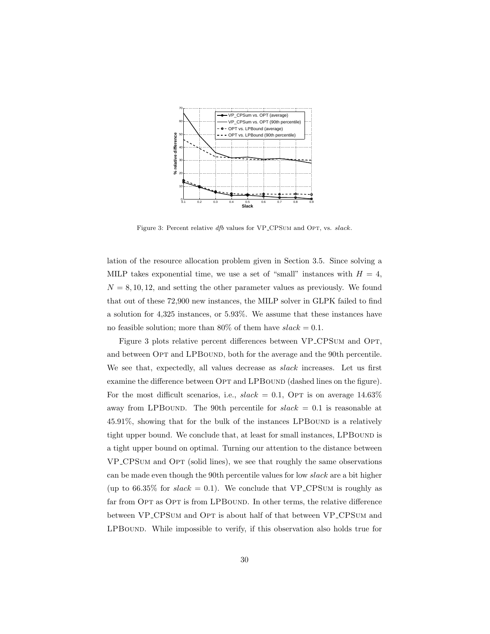

Figure 3: Percent relative dfb values for VP\_CPSUM and OPT, vs. slack.

lation of the resource allocation problem given in Section 3.5. Since solving a MILP takes exponential time, we use a set of "small" instances with  $H = 4$ ,  $N = 8, 10, 12,$  and setting the other parameter values as previously. We found that out of these 72,900 new instances, the MILP solver in GLPK failed to find a solution for 4,325 instances, or 5.93%. We assume that these instances have no feasible solution; more than 80% of them have  $slack = 0.1$ .

Figure 3 plots relative percent differences between VP\_CPSUM and OPT, and between OPT and LPBOUND, both for the average and the 90th percentile. We see that, expectedly, all values decrease as *slack* increases. Let us first examine the difference between OPT and LPBOUND (dashed lines on the figure). For the most difficult scenarios, i.e.,  $slack = 0.1$ , OPT is on average 14.63% away from LPBOUND. The 90th percentile for  $slack = 0.1$  is reasonable at 45.91%, showing that for the bulk of the instances LPBound is a relatively tight upper bound. We conclude that, at least for small instances, LPBound is a tight upper bound on optimal. Turning our attention to the distance between VP\_CPSUM and OPT (solid lines), we see that roughly the same observations can be made even though the 90th percentile values for low slack are a bit higher (up to 66.35% for slack = 0.1). We conclude that VP\_CPSUM is roughly as far from OPT as OPT is from LPBOUND. In other terms, the relative difference between VP\_CPSUM and OPT is about half of that between VP\_CPSUM and LPBound. While impossible to verify, if this observation also holds true for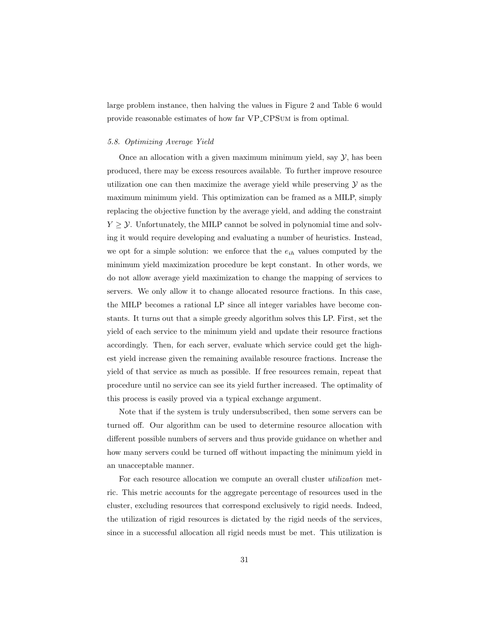large problem instance, then halving the values in Figure 2 and Table 6 would provide reasonable estimates of how far VP CPSum is from optimal.

# 5.8. Optimizing Average Yield

Once an allocation with a given maximum minimum yield, say  $\mathcal{Y}$ , has been produced, there may be excess resources available. To further improve resource utilization one can then maximize the average yield while preserving  $\mathcal Y$  as the maximum minimum yield. This optimization can be framed as a MILP, simply replacing the objective function by the average yield, and adding the constraint  $Y \geq Y$ . Unfortunately, the MILP cannot be solved in polynomial time and solving it would require developing and evaluating a number of heuristics. Instead, we opt for a simple solution: we enforce that the  $e_{ih}$  values computed by the minimum yield maximization procedure be kept constant. In other words, we do not allow average yield maximization to change the mapping of services to servers. We only allow it to change allocated resource fractions. In this case, the MILP becomes a rational LP since all integer variables have become constants. It turns out that a simple greedy algorithm solves this LP. First, set the yield of each service to the minimum yield and update their resource fractions accordingly. Then, for each server, evaluate which service could get the highest yield increase given the remaining available resource fractions. Increase the yield of that service as much as possible. If free resources remain, repeat that procedure until no service can see its yield further increased. The optimality of this process is easily proved via a typical exchange argument.

Note that if the system is truly undersubscribed, then some servers can be turned off. Our algorithm can be used to determine resource allocation with different possible numbers of servers and thus provide guidance on whether and how many servers could be turned off without impacting the minimum yield in an unacceptable manner.

For each resource allocation we compute an overall cluster utilization metric. This metric accounts for the aggregate percentage of resources used in the cluster, excluding resources that correspond exclusively to rigid needs. Indeed, the utilization of rigid resources is dictated by the rigid needs of the services, since in a successful allocation all rigid needs must be met. This utilization is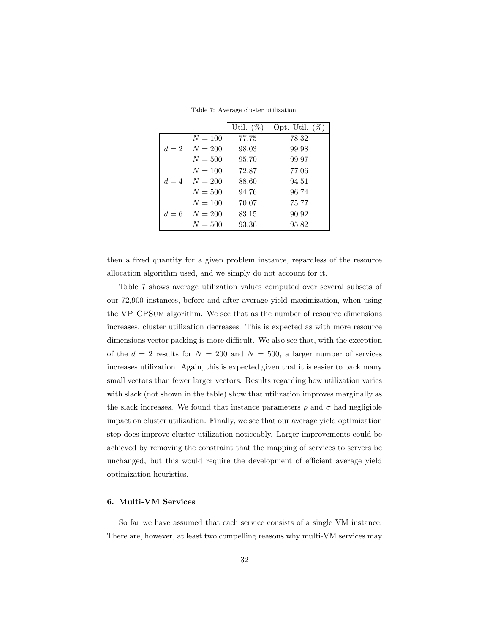Util.  $(\%)$  Opt. Util.  $(\%)$  $N = 100$  77.75 78.32  $d = 2 \mid N = 200 \mid 98.03 \mid 99.98$  $N = 500$  95.70 99.97  $N = 100$  72.87 77.06  $d = 4 \mid N = 200 \mid 88.60 \mid 94.51$  $N = 500$  94.76 96.74  $N = 100$  70.07 75.77

 $d = 6 \mid N = 200 \mid 83.15 \mid 90.92$ 

Table 7: Average cluster utilization.

then a fixed quantity for a given problem instance, regardless of the resource allocation algorithm used, and we simply do not account for it.

 $N = 500$  93.36 95.82

Table 7 shows average utilization values computed over several subsets of our 72,900 instances, before and after average yield maximization, when using the VP CPSum algorithm. We see that as the number of resource dimensions increases, cluster utilization decreases. This is expected as with more resource dimensions vector packing is more difficult. We also see that, with the exception of the  $d = 2$  results for  $N = 200$  and  $N = 500$ , a larger number of services increases utilization. Again, this is expected given that it is easier to pack many small vectors than fewer larger vectors. Results regarding how utilization varies with slack (not shown in the table) show that utilization improves marginally as the slack increases. We found that instance parameters  $\rho$  and  $\sigma$  had negligible impact on cluster utilization. Finally, we see that our average yield optimization step does improve cluster utilization noticeably. Larger improvements could be achieved by removing the constraint that the mapping of services to servers be unchanged, but this would require the development of efficient average yield optimization heuristics.

#### 6. Multi-VM Services

So far we have assumed that each service consists of a single VM instance. There are, however, at least two compelling reasons why multi-VM services may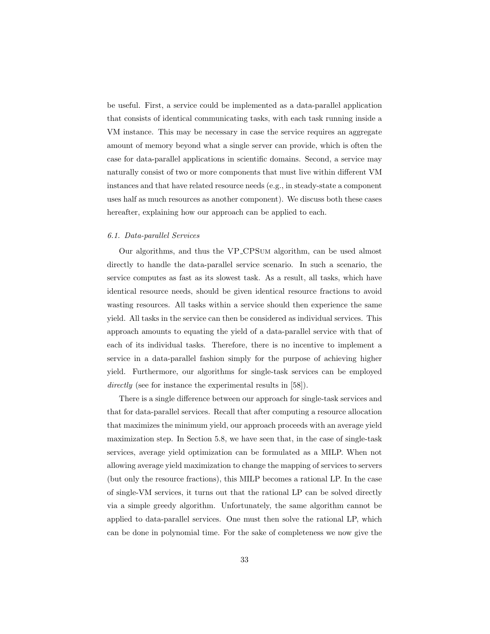be useful. First, a service could be implemented as a data-parallel application that consists of identical communicating tasks, with each task running inside a VM instance. This may be necessary in case the service requires an aggregate amount of memory beyond what a single server can provide, which is often the case for data-parallel applications in scientific domains. Second, a service may naturally consist of two or more components that must live within different VM instances and that have related resource needs (e.g., in steady-state a component uses half as much resources as another component). We discuss both these cases hereafter, explaining how our approach can be applied to each.

# 6.1. Data-parallel Services

Our algorithms, and thus the VP CPSum algorithm, can be used almost directly to handle the data-parallel service scenario. In such a scenario, the service computes as fast as its slowest task. As a result, all tasks, which have identical resource needs, should be given identical resource fractions to avoid wasting resources. All tasks within a service should then experience the same yield. All tasks in the service can then be considered as individual services. This approach amounts to equating the yield of a data-parallel service with that of each of its individual tasks. Therefore, there is no incentive to implement a service in a data-parallel fashion simply for the purpose of achieving higher yield. Furthermore, our algorithms for single-task services can be employed directly (see for instance the experimental results in [58]).

There is a single difference between our approach for single-task services and that for data-parallel services. Recall that after computing a resource allocation that maximizes the minimum yield, our approach proceeds with an average yield maximization step. In Section 5.8, we have seen that, in the case of single-task services, average yield optimization can be formulated as a MILP. When not allowing average yield maximization to change the mapping of services to servers (but only the resource fractions), this MILP becomes a rational LP. In the case of single-VM services, it turns out that the rational LP can be solved directly via a simple greedy algorithm. Unfortunately, the same algorithm cannot be applied to data-parallel services. One must then solve the rational LP, which can be done in polynomial time. For the sake of completeness we now give the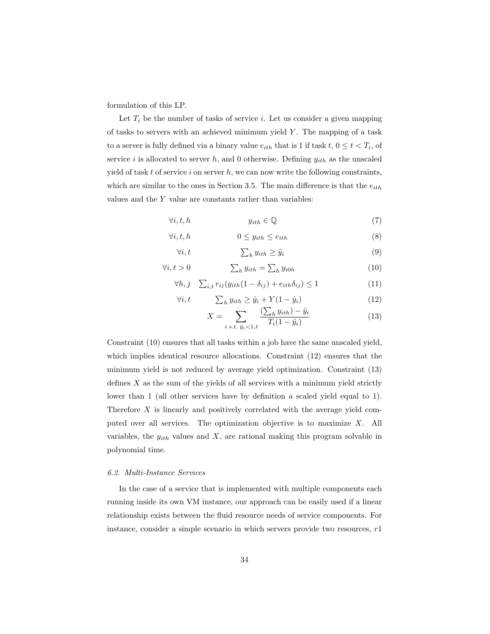formulation of this LP.

Let  $T_i$  be the number of tasks of service i. Let us consider a given mapping of tasks to servers with an achieved minimum yield  $Y$ . The mapping of a task to a server is fully defined via a binary value  $e_{ith}$  that is 1 if task  $t, 0 \le t < T_i$ , of service i is allocated to server h, and 0 otherwise. Defining  $y_{ith}$  as the unscaled yield of task  $t$  of service  $i$  on server  $h$ , we can now write the following constraints, which are similar to the ones in Section 3.5. The main difference is that the  $e_{ith}$ values and the Y value are constants rather than variables:

$$
\forall i, t, h \qquad \qquad y_{ith} \in \mathbb{Q} \tag{7}
$$

$$
\forall i, t, h \qquad \qquad 0 \leq y_{ith} \leq e_{ith} \qquad \qquad (8)
$$

$$
\forall i, t \qquad \qquad \sum_{h} y_{ith} \ge \hat{y}_i \tag{9}
$$

$$
\forall i, t > 0 \qquad \qquad \sum_{h} y_{ith} = \sum_{h} y_{i0h} \qquad (10)
$$

$$
\forall h, j \quad \sum_{i,t} r_{ij} (y_{ith}(1 - \delta_{ij}) + e_{ith}\delta_{ij}) \le 1 \tag{11}
$$

$$
\forall i, t \qquad \sum_{h} y_{ith} \ge \hat{y}_i + Y(1 - \hat{y}_i) \tag{12}
$$

$$
X = \sum_{i \ s.t. \ \hat{y}_i < 1, t} \frac{\left(\sum_h y_{ith}\right) - \hat{y}_i}{T_i(1 - \hat{y}_i)}\tag{13}
$$

Constraint (10) ensures that all tasks within a job have the same unscaled yield, which implies identical resource allocations. Constraint (12) ensures that the minimum yield is not reduced by average yield optimization. Constraint (13) defines  $X$  as the sum of the yields of all services with a minimum yield strictly lower than 1 (all other services have by definition a scaled yield equal to 1). Therefore X is linearly and positively correlated with the average yield computed over all services. The optimization objective is to maximize X. All variables, the  $y_{ith}$  values and X, are rational making this program solvable in polynomial time.

#### 6.2. Multi-Instance Services

In the case of a service that is implemented with multiple components each running inside its own VM instance, our approach can be easily used if a linear relationship exists between the fluid resource needs of service components. For instance, consider a simple scenario in which servers provide two resources,  $r1$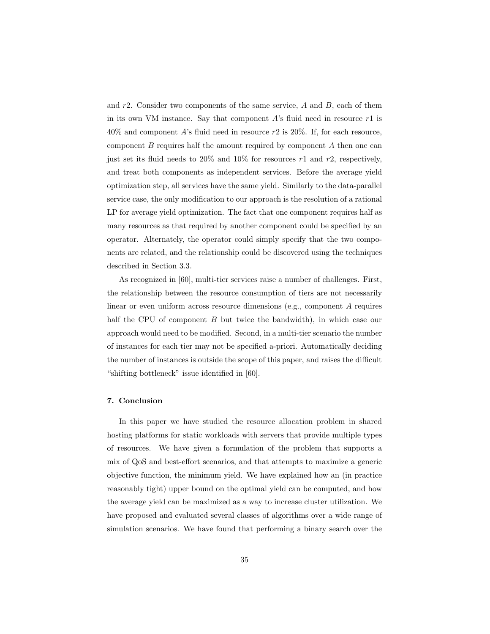and  $r2$ . Consider two components of the same service, A and B, each of them in its own VM instance. Say that component  $A$ 's fluid need in resource  $r1$  is  $40\%$  and component A's fluid need in resource r2 is 20%. If, for each resource, component B requires half the amount required by component A then one can just set its fluid needs to  $20\%$  and  $10\%$  for resources r1 and r2, respectively, and treat both components as independent services. Before the average yield optimization step, all services have the same yield. Similarly to the data-parallel service case, the only modification to our approach is the resolution of a rational LP for average yield optimization. The fact that one component requires half as many resources as that required by another component could be specified by an operator. Alternately, the operator could simply specify that the two components are related, and the relationship could be discovered using the techniques described in Section 3.3.

As recognized in [60], multi-tier services raise a number of challenges. First, the relationship between the resource consumption of tiers are not necessarily linear or even uniform across resource dimensions (e.g., component A requires half the CPU of component B but twice the bandwidth), in which case our approach would need to be modified. Second, in a multi-tier scenario the number of instances for each tier may not be specified a-priori. Automatically deciding the number of instances is outside the scope of this paper, and raises the difficult "shifting bottleneck" issue identified in [60].

# 7. Conclusion

In this paper we have studied the resource allocation problem in shared hosting platforms for static workloads with servers that provide multiple types of resources. We have given a formulation of the problem that supports a mix of QoS and best-effort scenarios, and that attempts to maximize a generic objective function, the minimum yield. We have explained how an (in practice reasonably tight) upper bound on the optimal yield can be computed, and how the average yield can be maximized as a way to increase cluster utilization. We have proposed and evaluated several classes of algorithms over a wide range of simulation scenarios. We have found that performing a binary search over the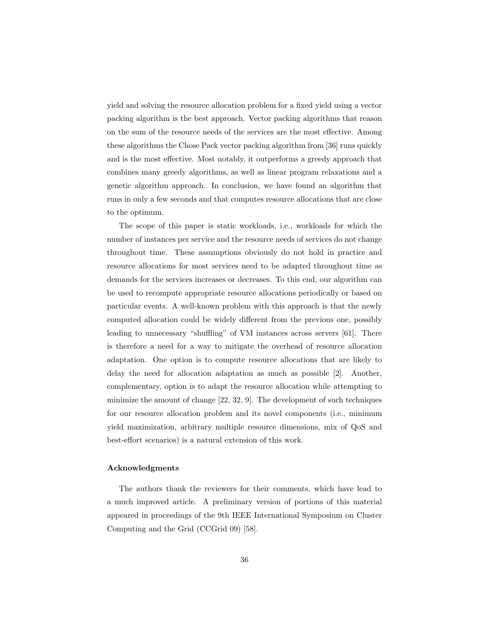yield and solving the resource allocation problem for a fixed yield using a vector packing algorithm is the best approach. Vector packing algorithms that reason on the sum of the resource needs of the services are the most effective. Among these algorithms the Chose Pack vector packing algorithm from [36] runs quickly and is the most effective. Most notably, it outperforms a greedy approach that combines many greedy algorithms, as well as linear program relaxations and a genetic algorithm approach. In conclusion, we have found an algorithm that runs in only a few seconds and that computes resource allocations that are close to the optimum.

The scope of this paper is static workloads, i.e., workloads for which the number of instances per service and the resource needs of services do not change throughout time. These assumptions obviously do not hold in practice and resource allocations for most services need to be adapted throughout time as demands for the services increases or decreases. To this end, our algorithm can be used to recompute appropriate resource allocations periodically or based on particular events. A well-known problem with this approach is that the newly computed allocation could be widely different from the previous one, possibly leading to unnecessary "shuffling" of VM instances across servers [61]. There is therefore a need for a way to mitigate the overhead of resource allocation adaptation. One option is to compute resource allocations that are likely to delay the need for allocation adaptation as much as possible [2]. Another, complementary, option is to adapt the resource allocation while attempting to minimize the amount of change [22, 32, 9]. The development of such techniques for our resource allocation problem and its novel components (i.e., minimum yield maximization, arbitrary multiple resource dimensions, mix of QoS and best-effort scenarios) is a natural extension of this work.

# Acknowledgments

The authors thank the reviewers for their comments, which have lead to a much improved article. A preliminary version of portions of this material appeared in proceedings of the 9th IEEE International Symposium on Cluster Computing and the Grid (CCGrid 09) [58].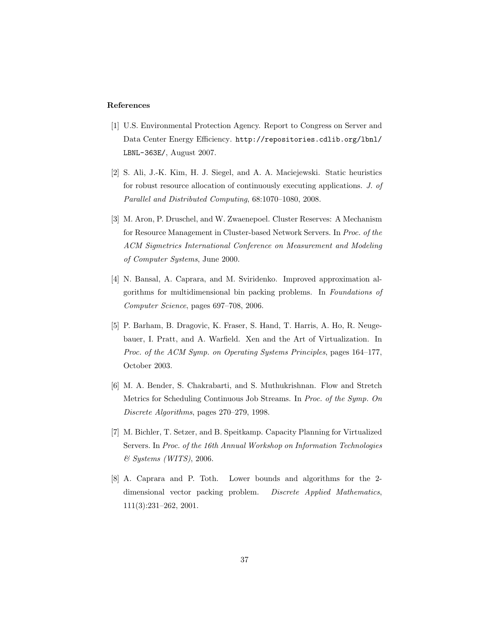# References

- [1] U.S. Environmental Protection Agency. Report to Congress on Server and Data Center Energy Efficiency. http://repositories.cdlib.org/lbnl/ LBNL-363E/, August 2007.
- [2] S. Ali, J.-K. Kim, H. J. Siegel, and A. A. Maciejewski. Static heuristics for robust resource allocation of continuously executing applications. J. of Parallel and Distributed Computing, 68:1070–1080, 2008.
- [3] M. Aron, P. Druschel, and W. Zwaenepoel. Cluster Reserves: A Mechanism for Resource Management in Cluster-based Network Servers. In Proc. of the ACM Sigmetrics International Conference on Measurement and Modeling of Computer Systems, June 2000.
- [4] N. Bansal, A. Caprara, and M. Sviridenko. Improved approximation algorithms for multidimensional bin packing problems. In Foundations of Computer Science, pages 697–708, 2006.
- [5] P. Barham, B. Dragovic, K. Fraser, S. Hand, T. Harris, A. Ho, R. Neugebauer, I. Pratt, and A. Warfield. Xen and the Art of Virtualization. In Proc. of the ACM Symp. on Operating Systems Principles, pages 164–177, October 2003.
- [6] M. A. Bender, S. Chakrabarti, and S. Muthukrishnan. Flow and Stretch Metrics for Scheduling Continuous Job Streams. In Proc. of the Symp. On Discrete Algorithms, pages 270–279, 1998.
- [7] M. Bichler, T. Setzer, and B. Speitkamp. Capacity Planning for Virtualized Servers. In Proc. of the 16th Annual Workshop on Information Technologies & Systems (WITS), 2006.
- [8] A. Caprara and P. Toth. Lower bounds and algorithms for the 2 dimensional vector packing problem. Discrete Applied Mathematics, 111(3):231–262, 2001.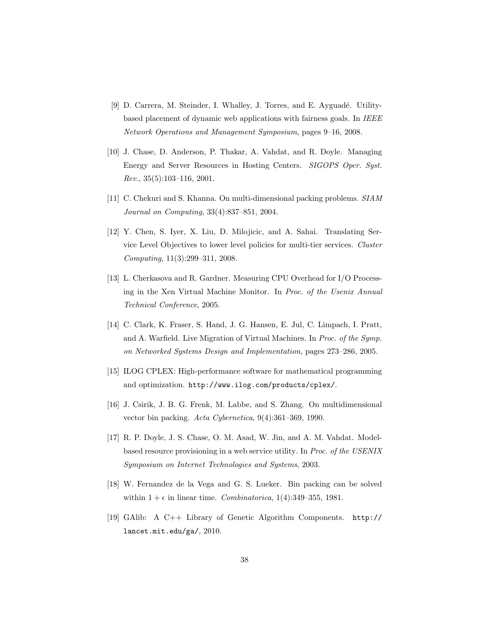- [9] D. Carrera, M. Steinder, I. Whalley, J. Torres, and E. Ayguadé. Utilitybased placement of dynamic web applications with fairness goals. In IEEE Network Operations and Management Symposium, pages 9–16, 2008.
- [10] J. Chase, D. Anderson, P. Thakar, A. Vahdat, and R. Doyle. Managing Energy and Server Resources in Hosting Centers. SIGOPS Oper. Syst.  $Rev., 35(5):103-116, 2001.$
- [11] C. Chekuri and S. Khanna. On multi-dimensional packing problems. SIAM Journal on Computing, 33(4):837–851, 2004.
- [12] Y. Chen, S. Iyer, X. Liu, D. Milojicic, and A. Sahai. Translating Service Level Objectives to lower level policies for multi-tier services. Cluster Computing, 11(3):299–311, 2008.
- [13] L. Cherkasova and R. Gardner. Measuring CPU Overhead for I/O Processing in the Xen Virtual Machine Monitor. In Proc. of the Usenix Annual Technical Conference, 2005.
- [14] C. Clark, K. Fraser, S. Hand, J. G. Hansen, E. Jul, C. Limpach, I. Pratt, and A. Warfield. Live Migration of Virtual Machines. In Proc. of the Symp. on Networked Systems Design and Implementation, pages 273–286, 2005.
- [15] ILOG CPLEX: High-performance software for mathematical programming and optimization. http://www.ilog.com/products/cplex/.
- [16] J. Csirik, J. B. G. Frenk, M. Labbe, and S. Zhang. On multidimensional vector bin packing. Acta Cybernetica, 9(4):361–369, 1990.
- [17] R. P. Doyle, J. S. Chase, O. M. Asad, W. Jin, and A. M. Vahdat. Modelbased resource provisioning in a web service utility. In Proc. of the USENIX Symposium on Internet Technologies and Systems, 2003.
- [18] W. Fernandez de la Vega and G. S. Lueker. Bin packing can be solved within  $1 + \epsilon$  in linear time. Combinatorica, 1(4):349-355, 1981.
- [19] GAlib: A C++ Library of Genetic Algorithm Components. http:// lancet.mit.edu/ga/, 2010.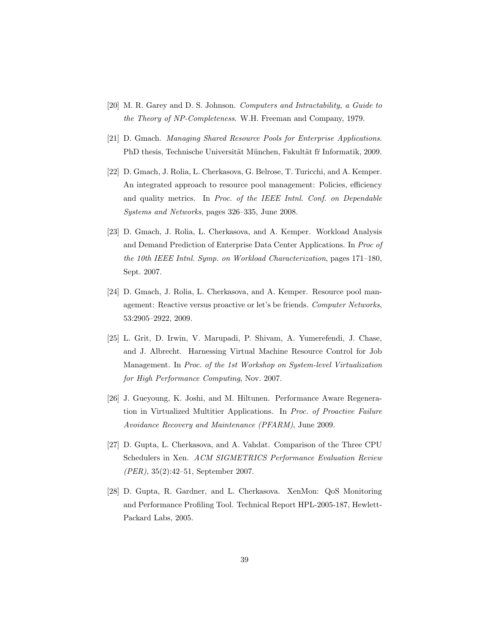- [20] M. R. Garey and D. S. Johnson. Computers and Intractability, a Guide to the Theory of NP-Completeness. W.H. Freeman and Company, 1979.
- [21] D. Gmach. Managing Shared Resource Pools for Enterprise Applications. PhD thesis, Technische Universität München, Fakultät fi Informatik, 2009.
- [22] D. Gmach, J. Rolia, L. Cherkasova, G. Belrose, T. Turicchi, and A. Kemper. An integrated approach to resource pool management: Policies, efficiency and quality metrics. In Proc. of the IEEE Intnl. Conf. on Dependable Systems and Networks, pages 326–335, June 2008.
- [23] D. Gmach, J. Rolia, L. Cherkasova, and A. Kemper. Workload Analysis and Demand Prediction of Enterprise Data Center Applications. In Proc of the 10th IEEE Intnl. Symp. on Workload Characterization, pages 171–180, Sept. 2007.
- [24] D. Gmach, J. Rolia, L. Cherkasova, and A. Kemper. Resource pool management: Reactive versus proactive or let's be friends. Computer Networks, 53:2905–2922, 2009.
- [25] L. Grit, D. Irwin, V. Marupadi, P. Shivam, A. Yumerefendi, J. Chase, and J. Albrecht. Harnessing Virtual Machine Resource Control for Job Management. In Proc. of the 1st Workshop on System-level Virtualization for High Performance Computing, Nov. 2007.
- [26] J. Gueyoung, K. Joshi, and M. Hiltunen. Performance Aware Regeneration in Virtualized Multitier Applications. In Proc. of Proactive Failure Avoidance Recovery and Maintenance (PFARM), June 2009.
- [27] D. Gupta, L. Cherkasova, and A. Vahdat. Comparison of the Three CPU Schedulers in Xen. ACM SIGMETRICS Performance Evaluation Review (PER), 35(2):42–51, September 2007.
- [28] D. Gupta, R. Gardner, and L. Cherkasova. XenMon: QoS Monitoring and Performance Profiling Tool. Technical Report HPL-2005-187, Hewlett-Packard Labs, 2005.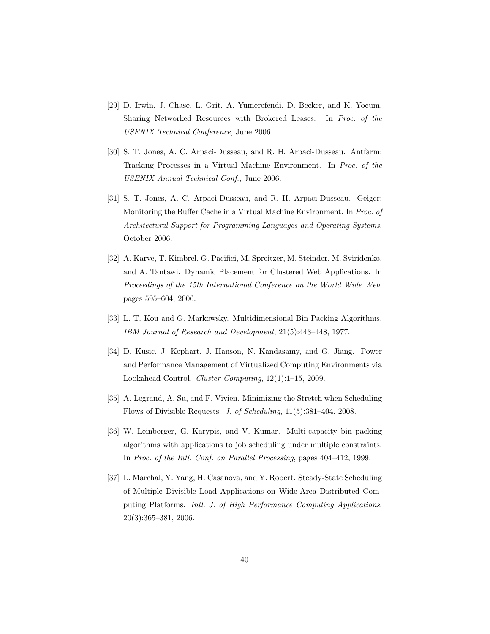- [29] D. Irwin, J. Chase, L. Grit, A. Yumerefendi, D. Becker, and K. Yocum. Sharing Networked Resources with Brokered Leases. In Proc. of the USENIX Technical Conference, June 2006.
- [30] S. T. Jones, A. C. Arpaci-Dusseau, and R. H. Arpaci-Dusseau. Antfarm: Tracking Processes in a Virtual Machine Environment. In Proc. of the USENIX Annual Technical Conf., June 2006.
- [31] S. T. Jones, A. C. Arpaci-Dusseau, and R. H. Arpaci-Dusseau. Geiger: Monitoring the Buffer Cache in a Virtual Machine Environment. In Proc. of Architectural Support for Programming Languages and Operating Systems, October 2006.
- [32] A. Karve, T. Kimbrel, G. Pacifici, M. Spreitzer, M. Steinder, M. Sviridenko, and A. Tantawi. Dynamic Placement for Clustered Web Applications. In Proceedings of the 15th International Conference on the World Wide Web, pages 595–604, 2006.
- [33] L. T. Kou and G. Markowsky. Multidimensional Bin Packing Algorithms. IBM Journal of Research and Development, 21(5):443–448, 1977.
- [34] D. Kusic, J. Kephart, J. Hanson, N. Kandasamy, and G. Jiang. Power and Performance Management of Virtualized Computing Environments via Lookahead Control. Cluster Computing, 12(1):1–15, 2009.
- [35] A. Legrand, A. Su, and F. Vivien. Minimizing the Stretch when Scheduling Flows of Divisible Requests. J. of Scheduling, 11(5):381–404, 2008.
- [36] W. Leinberger, G. Karypis, and V. Kumar. Multi-capacity bin packing algorithms with applications to job scheduling under multiple constraints. In Proc. of the Intl. Conf. on Parallel Processing, pages 404–412, 1999.
- [37] L. Marchal, Y. Yang, H. Casanova, and Y. Robert. Steady-State Scheduling of Multiple Divisible Load Applications on Wide-Area Distributed Computing Platforms. Intl. J. of High Performance Computing Applications, 20(3):365–381, 2006.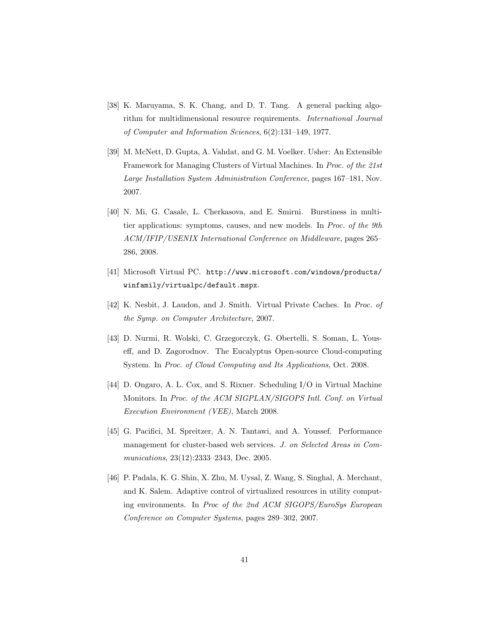- [38] K. Maruyama, S. K. Chang, and D. T. Tang. A general packing algorithm for multidimensional resource requirements. International Journal of Computer and Information Sciences, 6(2):131–149, 1977.
- [39] M. McNett, D. Gupta, A. Vahdat, and G. M. Voelker. Usher: An Extensible Framework for Managing Clusters of Virtual Machines. In Proc. of the 21st Large Installation System Administration Conference, pages 167–181, Nov. 2007.
- [40] N. Mi, G. Casale, L. Cherkasova, and E. Smirni. Burstiness in multitier applications: symptoms, causes, and new models. In Proc. of the 9th ACM/IFIP/USENIX International Conference on Middleware, pages 265– 286, 2008.
- [41] Microsoft Virtual PC. http://www.microsoft.com/windows/products/ winfamily/virtualpc/default.mspx.
- [42] K. Nesbit, J. Laudon, and J. Smith. Virtual Private Caches. In Proc. of the Symp. on Computer Architecture, 2007.
- [43] D. Nurmi, R. Wolski, C. Grzegorczyk, G. Obertelli, S. Soman, L. Youseff, and D. Zagorodnov. The Eucalyptus Open-source Cloud-computing System. In Proc. of Cloud Computing and Its Applications, Oct. 2008.
- [44] D. Ongaro, A. L. Cox, and S. Rixner. Scheduling I/O in Virtual Machine Monitors. In Proc. of the ACM SIGPLAN/SIGOPS Intl. Conf. on Virtual Execution Environment (VEE), March 2008.
- [45] G. Pacifici, M. Spreitzer, A. N. Tantawi, and A. Youssef. Performance management for cluster-based web services. J. on Selected Areas in Communications, 23(12):2333–2343, Dec. 2005.
- [46] P. Padala, K. G. Shin, X. Zhu, M. Uysal, Z. Wang, S. Singhal, A. Merchant, and K. Salem. Adaptive control of virtualized resources in utility computing environments. In Proc of the 2nd ACM SIGOPS/EuroSys European Conference on Computer Systems, pages 289–302, 2007.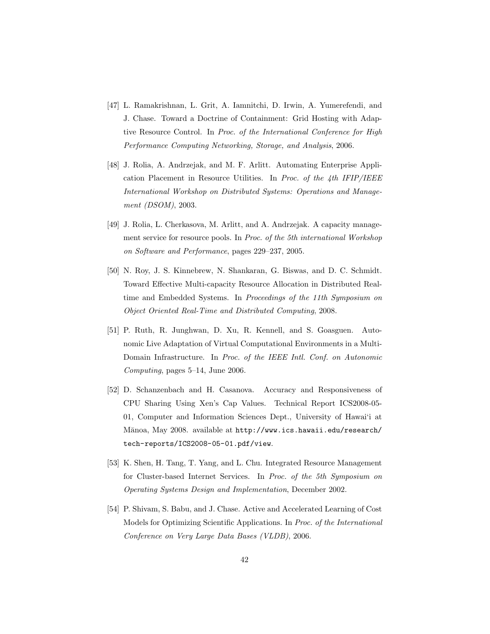- [47] L. Ramakrishnan, L. Grit, A. Iamnitchi, D. Irwin, A. Yumerefendi, and J. Chase. Toward a Doctrine of Containment: Grid Hosting with Adaptive Resource Control. In Proc. of the International Conference for High Performance Computing Networking, Storage, and Analysis, 2006.
- [48] J. Rolia, A. Andrzejak, and M. F. Arlitt. Automating Enterprise Application Placement in Resource Utilities. In Proc. of the  $4th$  IFIP/IEEE International Workshop on Distributed Systems: Operations and Management (DSOM), 2003.
- [49] J. Rolia, L. Cherkasova, M. Arlitt, and A. Andrzejak. A capacity management service for resource pools. In Proc. of the 5th international Workshop on Software and Performance, pages 229–237, 2005.
- [50] N. Roy, J. S. Kinnebrew, N. Shankaran, G. Biswas, and D. C. Schmidt. Toward Effective Multi-capacity Resource Allocation in Distributed Realtime and Embedded Systems. In Proceedings of the 11th Symposium on Object Oriented Real-Time and Distributed Computing, 2008.
- [51] P. Ruth, R. Junghwan, D. Xu, R. Kennell, and S. Goasguen. Autonomic Live Adaptation of Virtual Computational Environments in a Multi-Domain Infrastructure. In Proc. of the IEEE Intl. Conf. on Autonomic Computing, pages 5–14, June 2006.
- [52] D. Schanzenbach and H. Casanova. Accuracy and Responsiveness of CPU Sharing Using Xen's Cap Values. Technical Report ICS2008-05- 01, Computer and Information Sciences Dept., University of Hawai'i at Mānoa, May 2008. available at http://www.ics.hawaii.edu/research/ tech-reports/ICS2008-05-01.pdf/view.
- [53] K. Shen, H. Tang, T. Yang, and L. Chu. Integrated Resource Management for Cluster-based Internet Services. In Proc. of the 5th Symposium on Operating Systems Design and Implementation, December 2002.
- [54] P. Shivam, S. Babu, and J. Chase. Active and Accelerated Learning of Cost Models for Optimizing Scientific Applications. In Proc. of the International Conference on Very Large Data Bases (VLDB), 2006.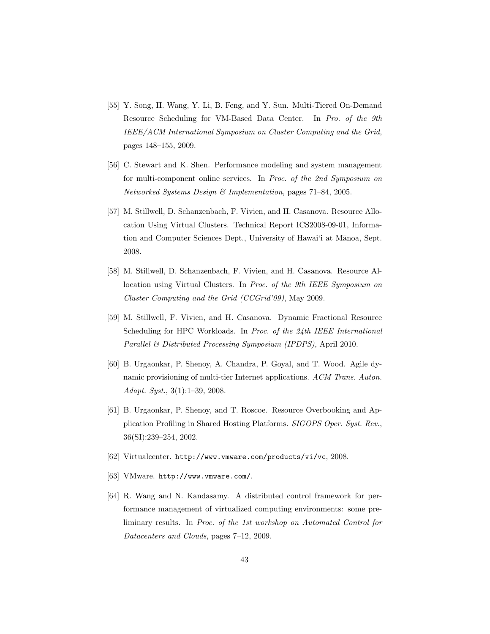- [55] Y. Song, H. Wang, Y. Li, B. Feng, and Y. Sun. Multi-Tiered On-Demand Resource Scheduling for VM-Based Data Center. In Pro. of the 9th IEEE/ACM International Symposium on Cluster Computing and the Grid, pages 148–155, 2009.
- [56] C. Stewart and K. Shen. Performance modeling and system management for multi-component online services. In Proc. of the 2nd Symposium on Networked Systems Design & Implementation, pages 71–84, 2005.
- [57] M. Stillwell, D. Schanzenbach, F. Vivien, and H. Casanova. Resource Allocation Using Virtual Clusters. Technical Report ICS2008-09-01, Information and Computer Sciences Dept., University of Hawai'i at Mānoa, Sept. 2008.
- [58] M. Stillwell, D. Schanzenbach, F. Vivien, and H. Casanova. Resource Allocation using Virtual Clusters. In Proc. of the 9th IEEE Symposium on Cluster Computing and the Grid (CCGrid'09), May 2009.
- [59] M. Stillwell, F. Vivien, and H. Casanova. Dynamic Fractional Resource Scheduling for HPC Workloads. In *Proc. of the 24th IEEE International* Parallel & Distributed Processing Symposium (IPDPS), April 2010.
- [60] B. Urgaonkar, P. Shenoy, A. Chandra, P. Goyal, and T. Wood. Agile dynamic provisioning of multi-tier Internet applications. ACM Trans. Auton. Adapt. Syst., 3(1):1–39, 2008.
- [61] B. Urgaonkar, P. Shenoy, and T. Roscoe. Resource Overbooking and Application Profiling in Shared Hosting Platforms. SIGOPS Oper. Syst. Rev., 36(SI):239–254, 2002.
- [62] Virtualcenter. http://www.vmware.com/products/vi/vc, 2008.
- [63] VMware. http://www.vmware.com/.
- [64] R. Wang and N. Kandasamy. A distributed control framework for performance management of virtualized computing environments: some preliminary results. In Proc. of the 1st workshop on Automated Control for Datacenters and Clouds, pages 7–12, 2009.